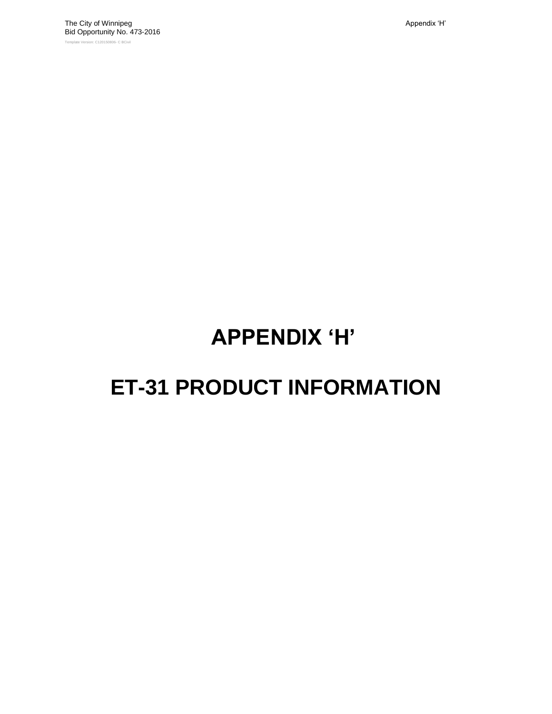# **APPENDIX "H"**

## **ET-31 PRODUCT INFORMATION**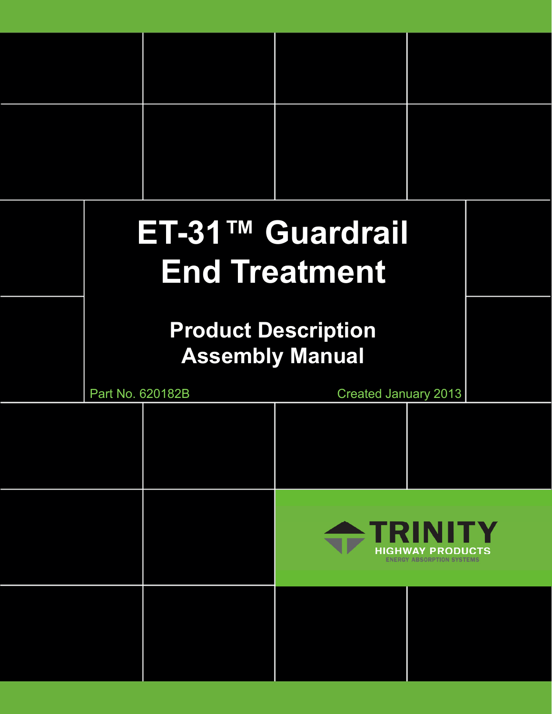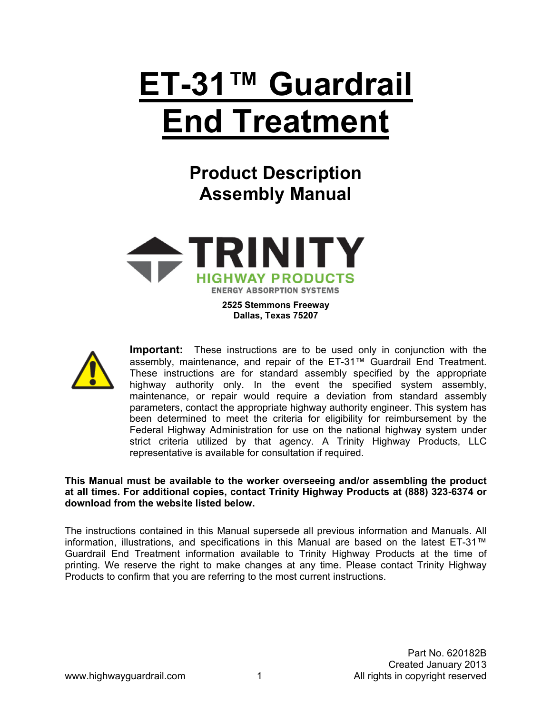# **ET-31™ Guardrail End Treatment**

**Product Description Assembly Manual** 



**2525 Stemmons Freeway Dallas, Texas 75207** 



**Important:** These instructions are to be used only in conjunction with the assembly, maintenance, and repair of the ET-31™ Guardrail End Treatment. These instructions are for standard assembly specified by the appropriate highway authority only. In the event the specified system assembly, maintenance, or repair would require a deviation from standard assembly parameters, contact the appropriate highway authority engineer. This system has been determined to meet the criteria for eligibility for reimbursement by the Federal Highway Administration for use on the national highway system under strict criteria utilized by that agency. A Trinity Highway Products, LLC representative is available for consultation if required.

**This Manual must be available to the worker overseeing and/or assembling the product at all times. For additional copies, contact Trinity Highway Products at (888) 323-6374 or download from the website listed below.** 

The instructions contained in this Manual supersede all previous information and Manuals. All information, illustrations, and specifications in this Manual are based on the latest ET-31™ Guardrail End Treatment information available to Trinity Highway Products at the time of printing. We reserve the right to make changes at any time. Please contact Trinity Highway Products to confirm that you are referring to the most current instructions.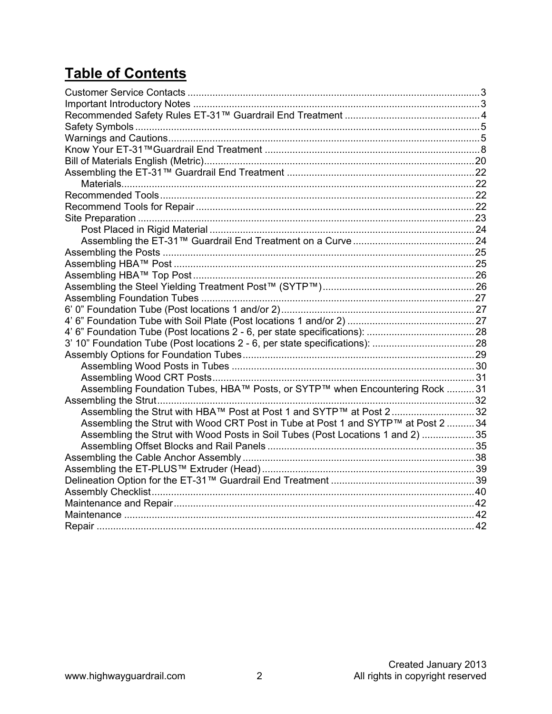### **Table of Contents**

| Assembling Foundation Tubes, HBA™ Posts, or SYTP™ when Encountering Rock 31       |  |
|-----------------------------------------------------------------------------------|--|
|                                                                                   |  |
| Assembling the Strut with HBA™ Post at Post 1 and SYTP™ at Post 232               |  |
| Assembling the Strut with Wood CRT Post in Tube at Post 1 and SYTP™ at Post 2  34 |  |
| Assembling the Strut with Wood Posts in Soil Tubes (Post Locations 1 and 2) 35    |  |
|                                                                                   |  |
|                                                                                   |  |
|                                                                                   |  |
|                                                                                   |  |
|                                                                                   |  |
|                                                                                   |  |
|                                                                                   |  |
|                                                                                   |  |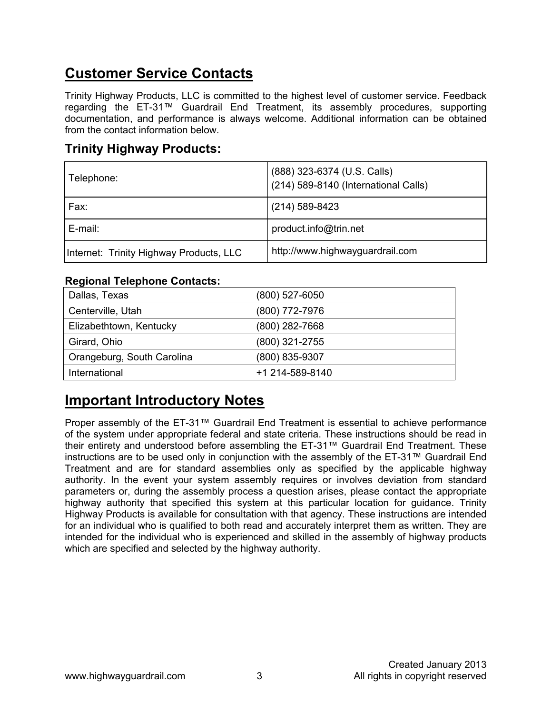### **Customer Service Contacts**

Trinity Highway Products, LLC is committed to the highest level of customer service. Feedback regarding the ET-31™ Guardrail End Treatment, its assembly procedures, supporting documentation, and performance is always welcome. Additional information can be obtained from the contact information below.

### **Trinity Highway Products:**

| Telephone:                              | (888) 323-6374 (U.S. Calls)<br>(214) 589-8140 (International Calls) |
|-----------------------------------------|---------------------------------------------------------------------|
| Fax:                                    | $(214)$ 589-8423                                                    |
| E-mail:                                 | product.info@trin.net                                               |
| Internet: Trinity Highway Products, LLC | http://www.highwayguardrail.com                                     |

#### **Regional Telephone Contacts:**

| Dallas, Texas              | (800) 527-6050  |
|----------------------------|-----------------|
| Centerville, Utah          | (800) 772-7976  |
| Elizabethtown, Kentucky    | (800) 282-7668  |
| Girard, Ohio               | (800) 321-2755  |
| Orangeburg, South Carolina | (800) 835-9307  |
| International              | +1 214-589-8140 |

### **Important Introductory Notes**

Proper assembly of the ET-31™ Guardrail End Treatment is essential to achieve performance of the system under appropriate federal and state criteria. These instructions should be read in their entirety and understood before assembling the ET-31™ Guardrail End Treatment. These instructions are to be used only in conjunction with the assembly of the ET-31™ Guardrail End Treatment and are for standard assemblies only as specified by the applicable highway authority. In the event your system assembly requires or involves deviation from standard parameters or, during the assembly process a question arises, please contact the appropriate highway authority that specified this system at this particular location for guidance. Trinity Highway Products is available for consultation with that agency. These instructions are intended for an individual who is qualified to both read and accurately interpret them as written. They are intended for the individual who is experienced and skilled in the assembly of highway products which are specified and selected by the highway authority.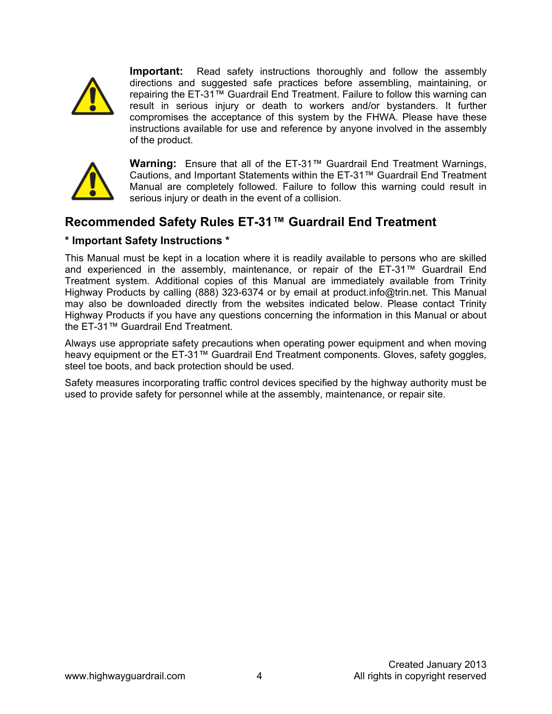

**Important:** Read safety instructions thoroughly and follow the assembly directions and suggested safe practices before assembling, maintaining, or repairing the ET-31™ Guardrail End Treatment. Failure to follow this warning can result in serious injury or death to workers and/or bystanders. It further compromises the acceptance of this system by the FHWA. Please have these instructions available for use and reference by anyone involved in the assembly of the product.



**Warning:** Ensure that all of the ET-31™ Guardrail End Treatment Warnings, Cautions, and Important Statements within the ET-31™ Guardrail End Treatment Manual are completely followed. Failure to follow this warning could result in serious injury or death in the event of a collision.

### **Recommended Safety Rules ET-31™ Guardrail End Treatment**

#### **\* Important Safety Instructions \***

This Manual must be kept in a location where it is readily available to persons who are skilled and experienced in the assembly, maintenance, or repair of the ET-31™ Guardrail End Treatment system. Additional copies of this Manual are immediately available from Trinity Highway Products by calling (888) 323-6374 or by email at product.info@trin.net. This Manual may also be downloaded directly from the websites indicated below. Please contact Trinity Highway Products if you have any questions concerning the information in this Manual or about the ET-31™ Guardrail End Treatment.

Always use appropriate safety precautions when operating power equipment and when moving heavy equipment or the ET-31™ Guardrail End Treatment components. Gloves, safety goggles, steel toe boots, and back protection should be used.

Safety measures incorporating traffic control devices specified by the highway authority must be used to provide safety for personnel while at the assembly, maintenance, or repair site.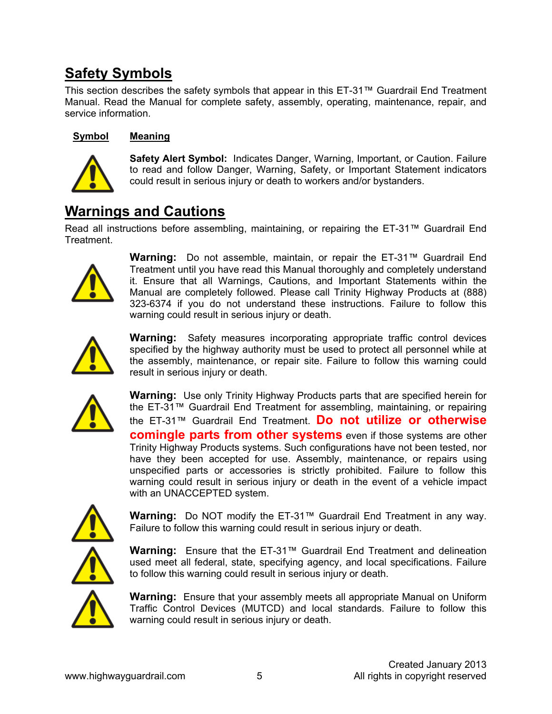### **Safety Symbols**

This section describes the safety symbols that appear in this ET-31™ Guardrail End Treatment Manual. Read the Manual for complete safety, assembly, operating, maintenance, repair, and service information.

#### **Symbol Meaning**



**Safety Alert Symbol:** Indicates Danger, Warning, Important, or Caution. Failure to read and follow Danger, Warning, Safety, or Important Statement indicators could result in serious injury or death to workers and/or bystanders.

### **Warnings and Cautions**

Read all instructions before assembling, maintaining, or repairing the ET-31™ Guardrail End Treatment.



**Warning:** Do not assemble, maintain, or repair the ET-31™ Guardrail End Treatment until you have read this Manual thoroughly and completely understand it. Ensure that all Warnings, Cautions, and Important Statements within the Manual are completely followed. Please call Trinity Highway Products at (888) 323-6374 if you do not understand these instructions. Failure to follow this warning could result in serious injury or death.



**Warning:** Safety measures incorporating appropriate traffic control devices specified by the highway authority must be used to protect all personnel while at the assembly, maintenance, or repair site. Failure to follow this warning could result in serious injury or death.



**Warning:** Use only Trinity Highway Products parts that are specified herein for the ET-31™ Guardrail End Treatment for assembling, maintaining, or repairing the ET-31™ Guardrail End Treatment. **Do not utilize or otherwise comingle parts from other systems** even if those systems are other Trinity Highway Products systems. Such configurations have not been tested, nor have they been accepted for use. Assembly, maintenance, or repairs using unspecified parts or accessories is strictly prohibited. Failure to follow this warning could result in serious injury or death in the event of a vehicle impact with an UNACCEPTED system.



**Warning:** Do NOT modify the ET-31™ Guardrail End Treatment in any way. Failure to follow this warning could result in serious injury or death.

**Warning:** Ensure that the ET-31™ Guardrail End Treatment and delineation used meet all federal, state, specifying agency, and local specifications. Failure to follow this warning could result in serious injury or death.



**Warning:** Ensure that your assembly meets all appropriate Manual on Uniform Traffic Control Devices (MUTCD) and local standards. Failure to follow this warning could result in serious injury or death.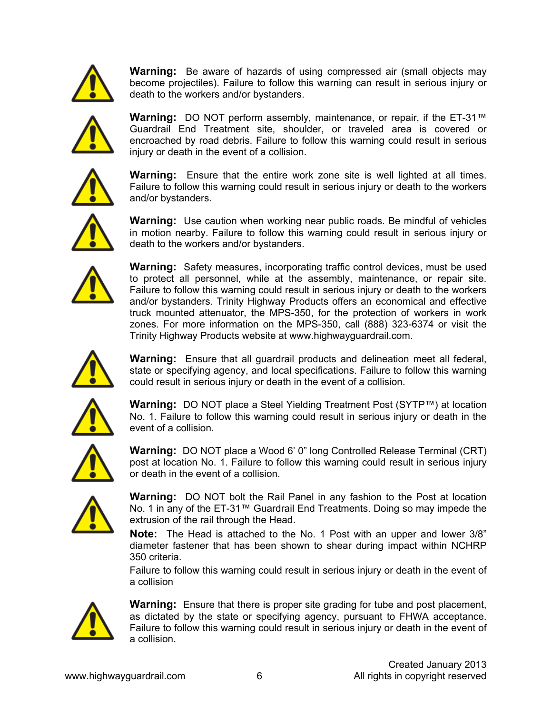

**Warning:** Be aware of hazards of using compressed air (small objects may become projectiles). Failure to follow this warning can result in serious injury or death to the workers and/or bystanders.



**Warning:** DO NOT perform assembly, maintenance, or repair, if the ET-31™ Guardrail End Treatment site, shoulder, or traveled area is covered or encroached by road debris. Failure to follow this warning could result in serious injury or death in the event of a collision.



**Warning:** Ensure that the entire work zone site is well lighted at all times. Failure to follow this warning could result in serious injury or death to the workers and/or bystanders.



**Warning:** Use caution when working near public roads. Be mindful of vehicles in motion nearby. Failure to follow this warning could result in serious injury or death to the workers and/or bystanders.



**Warning:** Safety measures, incorporating traffic control devices, must be used to protect all personnel, while at the assembly, maintenance, or repair site. Failure to follow this warning could result in serious injury or death to the workers and/or bystanders. Trinity Highway Products offers an economical and effective truck mounted attenuator, the MPS-350, for the protection of workers in work zones. For more information on the MPS-350, call (888) 323-6374 or visit the Trinity Highway Products website at www.highwayguardrail.com.



**Warning:** Ensure that all guardrail products and delineation meet all federal, state or specifying agency, and local specifications. Failure to follow this warning could result in serious injury or death in the event of a collision.



**Warning:** DO NOT place a Steel Yielding Treatment Post (SYTP™) at location No. 1. Failure to follow this warning could result in serious injury or death in the event of a collision.



**Warning:** DO NOT place a Wood 6' 0" long Controlled Release Terminal (CRT) post at location No. 1. Failure to follow this warning could result in serious injury or death in the event of a collision.



**Warning:** DO NOT bolt the Rail Panel in any fashion to the Post at location No. 1 in any of the ET-31™ Guardrail End Treatments. Doing so may impede the extrusion of the rail through the Head.

**Note:** The Head is attached to the No. 1 Post with an upper and lower 3/8" diameter fastener that has been shown to shear during impact within NCHRP 350 criteria.

Failure to follow this warning could result in serious injury or death in the event of a collision



**Warning:** Ensure that there is proper site grading for tube and post placement, as dictated by the state or specifying agency, pursuant to FHWA acceptance. Failure to follow this warning could result in serious injury or death in the event of a collision.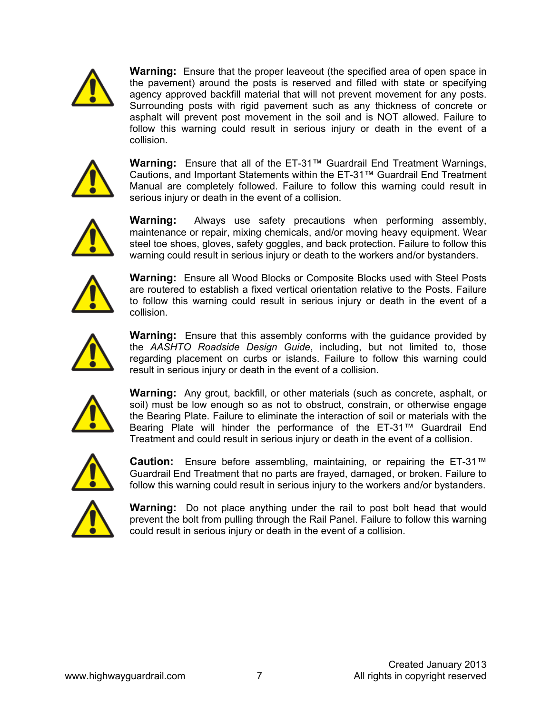

**Warning:** Ensure that the proper leaveout (the specified area of open space in the pavement) around the posts is reserved and filled with state or specifying agency approved backfill material that will not prevent movement for any posts. Surrounding posts with rigid pavement such as any thickness of concrete or asphalt will prevent post movement in the soil and is NOT allowed. Failure to follow this warning could result in serious injury or death in the event of a collision.



**Warning:** Ensure that all of the ET-31™ Guardrail End Treatment Warnings, Cautions, and Important Statements within the ET-31™ Guardrail End Treatment Manual are completely followed. Failure to follow this warning could result in serious injury or death in the event of a collision.



**Warning:** Always use safety precautions when performing assembly, maintenance or repair, mixing chemicals, and/or moving heavy equipment. Wear steel toe shoes, gloves, safety goggles, and back protection. Failure to follow this warning could result in serious injury or death to the workers and/or bystanders.



**Warning:** Ensure all Wood Blocks or Composite Blocks used with Steel Posts are routered to establish a fixed vertical orientation relative to the Posts. Failure to follow this warning could result in serious injury or death in the event of a collision.



**Warning:** Ensure that this assembly conforms with the guidance provided by the *AASHTO Roadside Design Guide*, including, but not limited to, those regarding placement on curbs or islands. Failure to follow this warning could result in serious injury or death in the event of a collision.



**Warning:** Any grout, backfill, or other materials (such as concrete, asphalt, or soil) must be low enough so as not to obstruct, constrain, or otherwise engage the Bearing Plate. Failure to eliminate the interaction of soil or materials with the Bearing Plate will hinder the performance of the ET-31™ Guardrail End Treatment and could result in serious injury or death in the event of a collision.



**Caution:** Ensure before assembling, maintaining, or repairing the ET-31™ Guardrail End Treatment that no parts are frayed, damaged, or broken. Failure to follow this warning could result in serious injury to the workers and/or bystanders.



**Warning:** Do not place anything under the rail to post bolt head that would prevent the bolt from pulling through the Rail Panel. Failure to follow this warning could result in serious injury or death in the event of a collision.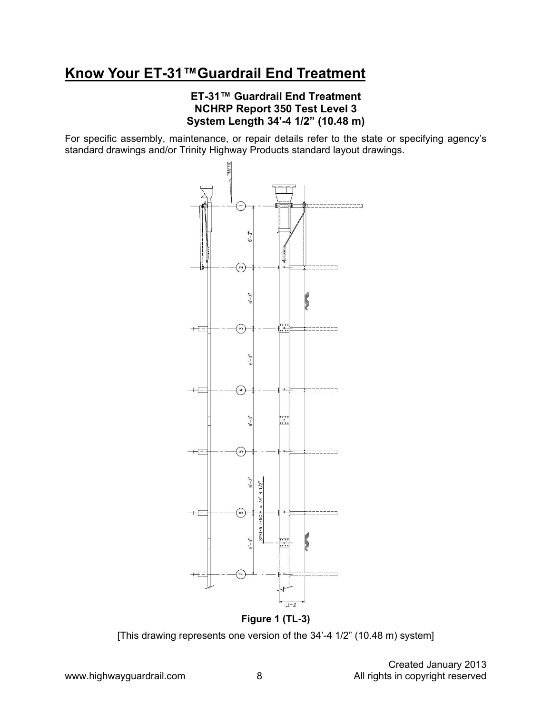### **Know Your ET-31™Guardrail End Treatment**

#### **ET-31™ Guardrail End Treatment NCHRP Report 350 Test Level 3 System Length 34'-4 1/2" (10.48 m)**

For specific assembly, maintenance, or repair details refer to the state or specifying agency's standard drawings and/or Trinity Highway Products standard layout drawings.



**Figure 1 (TL-3)** 

[This drawing represents one version of the 34'-4 1/2" (10.48 m) system]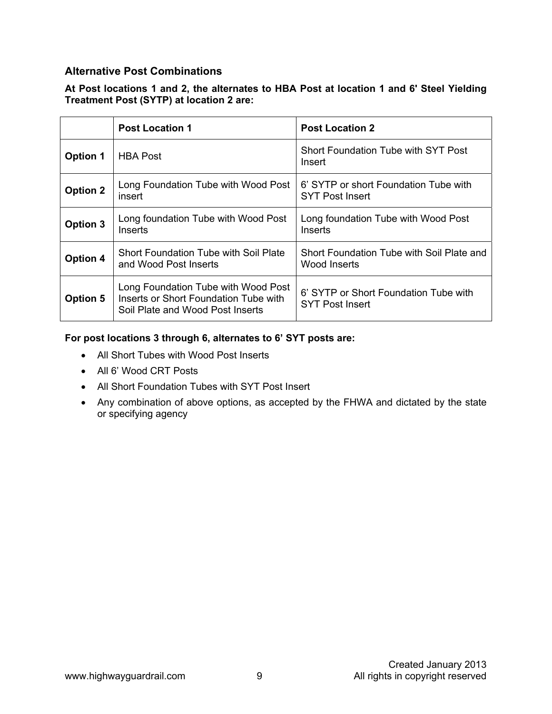#### **Alternative Post Combinations**

#### **At Post locations 1 and 2, the alternates to HBA Post at location 1 and 6' Steel Yielding Treatment Post (SYTP) at location 2 are:**

|                 | <b>Post Location 1</b>                                                                                           | <b>Post Location 2</b>                                          |
|-----------------|------------------------------------------------------------------------------------------------------------------|-----------------------------------------------------------------|
| <b>Option 1</b> | <b>HBA Post</b>                                                                                                  | Short Foundation Tube with SYT Post<br>Insert                   |
| <b>Option 2</b> | Long Foundation Tube with Wood Post<br>insert                                                                    | 6' SYTP or short Foundation Tube with<br><b>SYT Post Insert</b> |
| <b>Option 3</b> | Long foundation Tube with Wood Post<br>Inserts                                                                   | Long foundation Tube with Wood Post<br>Inserts                  |
| <b>Option 4</b> | Short Foundation Tube with Soil Plate<br>and Wood Post Inserts                                                   | Short Foundation Tube with Soil Plate and<br>Wood Inserts       |
| <b>Option 5</b> | Long Foundation Tube with Wood Post<br>Inserts or Short Foundation Tube with<br>Soil Plate and Wood Post Inserts | 6' SYTP or Short Foundation Tube with<br><b>SYT Post Insert</b> |

#### **For post locations 3 through 6, alternates to 6' SYT posts are:**

- All Short Tubes with Wood Post Inserts
- All 6' Wood CRT Posts
- All Short Foundation Tubes with SYT Post Insert
- Any combination of above options, as accepted by the FHWA and dictated by the state or specifying agency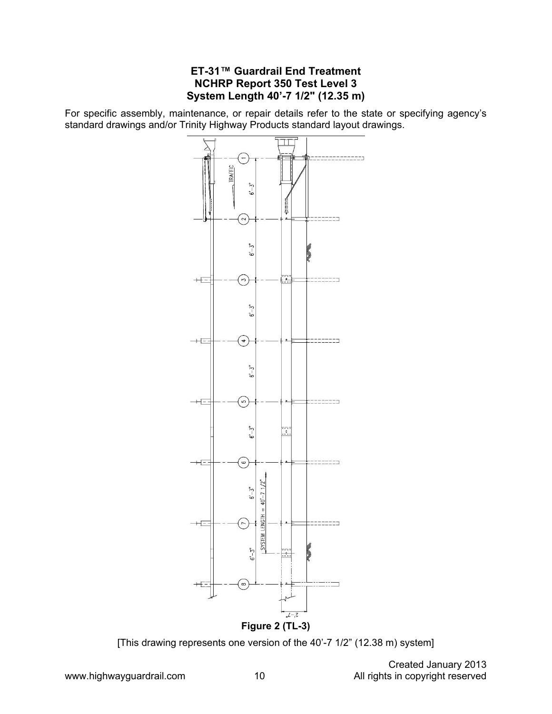#### **ET-31™ Guardrail End Treatment NCHRP Report 350 Test Level 3 System Length 40'-7 1/2" (12.35 m)**

For specific assembly, maintenance, or repair details refer to the state or specifying agency's standard drawings and/or Trinity Highway Products standard layout drawings.



[This drawing represents one version of the 40'-7 1/2" (12.38 m) system]

 Created January 2013 www.highwayguardrail.com 10 10 All rights in copyright reserved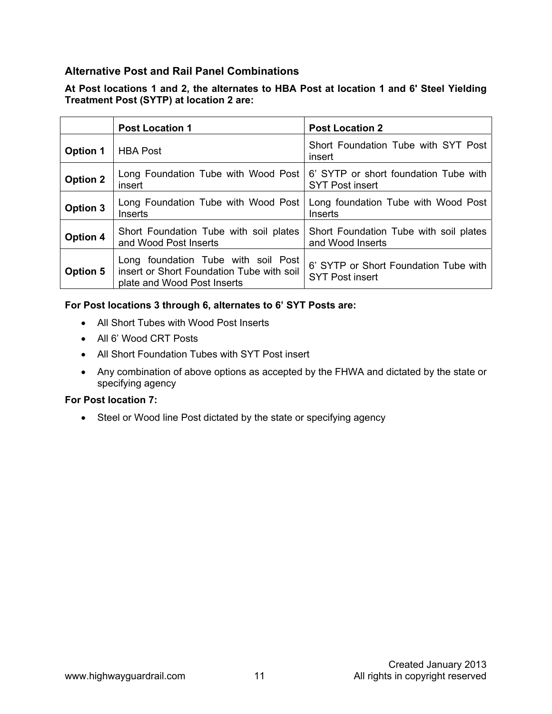#### **Alternative Post and Rail Panel Combinations**

#### **At Post locations 1 and 2, the alternates to HBA Post at location 1 and 6' Steel Yielding Treatment Post (SYTP) at location 2 are:**

|                 | <b>Post Location 1</b>                                                                                          | <b>Post Location 2</b>                                          |
|-----------------|-----------------------------------------------------------------------------------------------------------------|-----------------------------------------------------------------|
| <b>Option 1</b> | <b>HBA Post</b>                                                                                                 | Short Foundation Tube with SYT Post<br>insert                   |
| <b>Option 2</b> | Long Foundation Tube with Wood Post<br>insert                                                                   | 6' SYTP or short foundation Tube with<br><b>SYT Post insert</b> |
| <b>Option 3</b> | Long Foundation Tube with Wood Post<br>Inserts                                                                  | Long foundation Tube with Wood Post<br>Inserts                  |
| <b>Option 4</b> | Short Foundation Tube with soil plates<br>and Wood Post Inserts                                                 | Short Foundation Tube with soil plates<br>and Wood Inserts      |
| <b>Option 5</b> | Long foundation Tube with soil Post<br>insert or Short Foundation Tube with soil<br>plate and Wood Post Inserts | 6' SYTP or Short Foundation Tube with<br><b>SYT Post insert</b> |

#### **For Post locations 3 through 6, alternates to 6' SYT Posts are:**

- All Short Tubes with Wood Post Inserts
- All 6' Wood CRT Posts
- All Short Foundation Tubes with SYT Post insert
- Any combination of above options as accepted by the FHWA and dictated by the state or specifying agency

#### **For Post location 7:**

• Steel or Wood line Post dictated by the state or specifying agency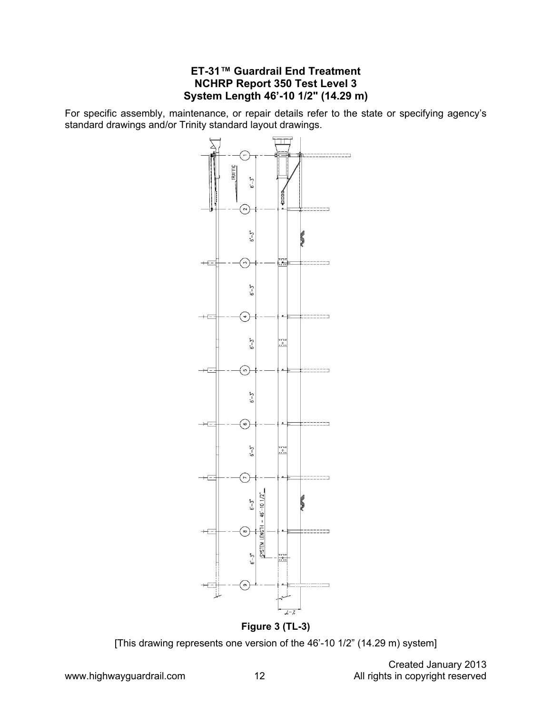#### **ET-31™ Guardrail End Treatment NCHRP Report 350 Test Level 3 System Length 46'-10 1/2" (14.29 m)**

For specific assembly, maintenance, or repair details refer to the state or specifying agency's standard drawings and/or Trinity standard layout drawings.



[This drawing represents one version of the 46'-10 1/2" (14.29 m) system]

Created January 2013<br>All rights in copyright reserved www.highwayguardrail.com 12 12 All rights in copyright reserved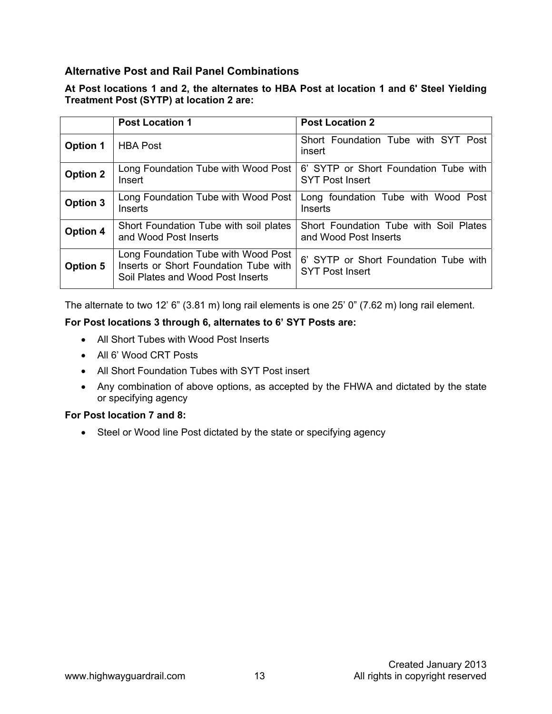#### **Alternative Post and Rail Panel Combinations**

#### **At Post locations 1 and 2, the alternates to HBA Post at location 1 and 6' Steel Yielding Treatment Post (SYTP) at location 2 are:**

|                 | <b>Post Location 1</b>                                                                                            | <b>Post Location 2</b>                                          |
|-----------------|-------------------------------------------------------------------------------------------------------------------|-----------------------------------------------------------------|
| <b>Option 1</b> | <b>HBA Post</b>                                                                                                   | Short Foundation Tube with SYT Post<br>insert                   |
| <b>Option 2</b> | Long Foundation Tube with Wood Post<br>Insert                                                                     | 6' SYTP or Short Foundation Tube with<br><b>SYT Post Insert</b> |
| <b>Option 3</b> | Long Foundation Tube with Wood Post<br>Inserts                                                                    | Long foundation Tube with Wood Post<br>Inserts                  |
| <b>Option 4</b> | Short Foundation Tube with soil plates<br>and Wood Post Inserts                                                   | Short Foundation Tube with Soil Plates<br>and Wood Post Inserts |
| <b>Option 5</b> | Long Foundation Tube with Wood Post<br>Inserts or Short Foundation Tube with<br>Soil Plates and Wood Post Inserts | 6' SYTP or Short Foundation Tube with<br><b>SYT Post Insert</b> |

The alternate to two 12' 6" (3.81 m) long rail elements is one 25' 0" (7.62 m) long rail element.

#### **For Post locations 3 through 6, alternates to 6' SYT Posts are:**

- All Short Tubes with Wood Post Inserts
- All 6' Wood CRT Posts
- All Short Foundation Tubes with SYT Post insert
- Any combination of above options, as accepted by the FHWA and dictated by the state or specifying agency

#### **For Post location 7 and 8:**

• Steel or Wood line Post dictated by the state or specifying agency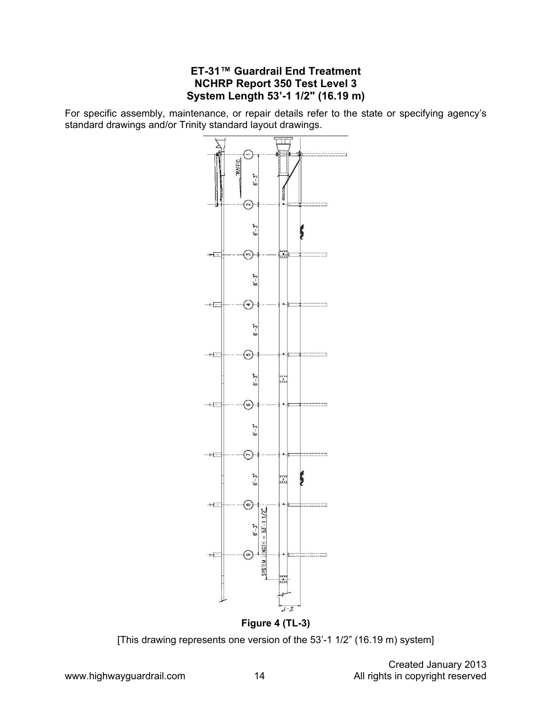#### **ET-31™ Guardrail End Treatment NCHRP Report 350 Test Level 3 System Length 53'-1 1/2" (16.19 m)**

For specific assembly, maintenance, or repair details refer to the state or specifying agency's standard drawings and/or Trinity standard layout drawings.



**Figure 4 (TL-3)** 

[This drawing represents one version of the 53'-1 1/2" (16.19 m) system]

 Created January 2013 www.highwayguardrail.com 14 Manuson 14 All rights in copyright reserved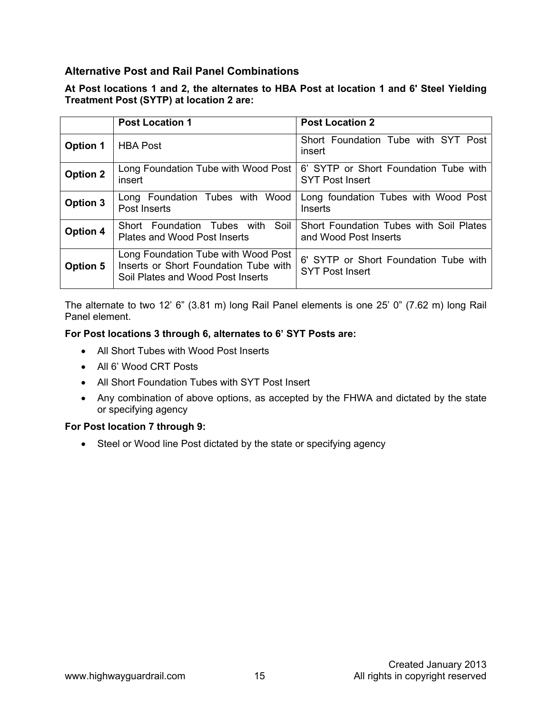#### **Alternative Post and Rail Panel Combinations**

#### **At Post locations 1 and 2, the alternates to HBA Post at location 1 and 6' Steel Yielding Treatment Post (SYTP) at location 2 are:**

|                 | <b>Post Location 1</b>                                                                                            | <b>Post Location 2</b>                                           |
|-----------------|-------------------------------------------------------------------------------------------------------------------|------------------------------------------------------------------|
| <b>Option 1</b> | <b>HBA Post</b>                                                                                                   | Short Foundation Tube with SYT Post<br>insert                    |
| <b>Option 2</b> | Long Foundation Tube with Wood Post<br>insert                                                                     | 6' SYTP or Short Foundation Tube with<br><b>SYT Post Insert</b>  |
| <b>Option 3</b> | Long Foundation Tubes with Wood<br>Post Inserts                                                                   | Long foundation Tubes with Wood Post<br>Inserts                  |
| Option 4        | Short Foundation Tubes with Soil<br>Plates and Wood Post Inserts                                                  | Short Foundation Tubes with Soil Plates<br>and Wood Post Inserts |
| <b>Option 5</b> | Long Foundation Tube with Wood Post<br>Inserts or Short Foundation Tube with<br>Soil Plates and Wood Post Inserts | 6' SYTP or Short Foundation Tube with<br><b>SYT Post Insert</b>  |

The alternate to two 12' 6" (3.81 m) long Rail Panel elements is one 25' 0" (7.62 m) long Rail Panel element.

#### **For Post locations 3 through 6, alternates to 6' SYT Posts are:**

- All Short Tubes with Wood Post Inserts
- All 6' Wood CRT Posts
- All Short Foundation Tubes with SYT Post Insert
- Any combination of above options, as accepted by the FHWA and dictated by the state or specifying agency

#### **For Post location 7 through 9:**

• Steel or Wood line Post dictated by the state or specifying agency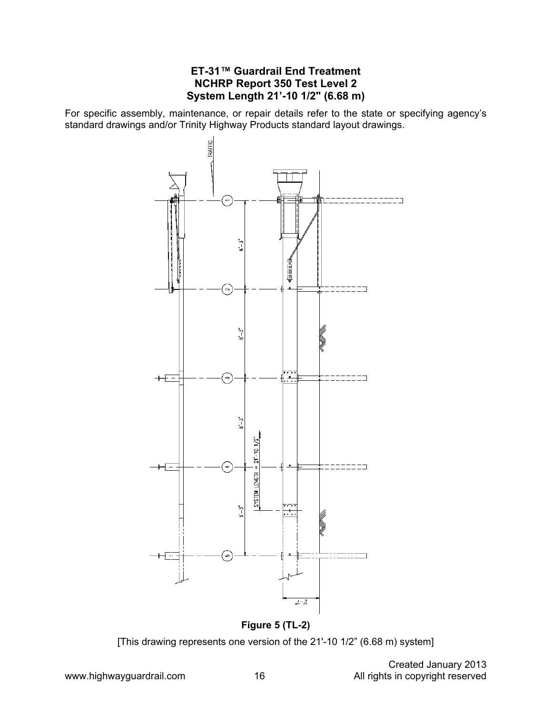#### **ET-31™ Guardrail End Treatment NCHRP Report 350 Test Level 2 System Length 21'-10 1/2" (6.68 m)**

For specific assembly, maintenance, or repair details refer to the state or specifying agency's standard drawings and/or Trinity Highway Products standard layout drawings.



**Figure 5 (TL-2)**  [This drawing represents one version of the 21'-10 1/2" (6.68 m) system]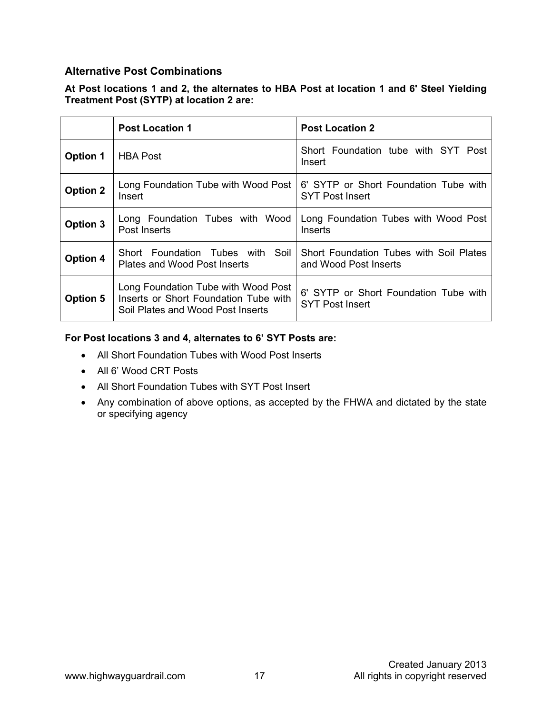#### **Alternative Post Combinations**

#### **At Post locations 1 and 2, the alternates to HBA Post at location 1 and 6' Steel Yielding Treatment Post (SYTP) at location 2 are:**

|                 | <b>Post Location 1</b>                                                                                            | <b>Post Location 2</b>                                           |
|-----------------|-------------------------------------------------------------------------------------------------------------------|------------------------------------------------------------------|
| <b>Option 1</b> | <b>HBA Post</b>                                                                                                   | Short Foundation tube with SYT Post<br>Insert                    |
| <b>Option 2</b> | Long Foundation Tube with Wood Post<br>Insert                                                                     | 6' SYTP or Short Foundation Tube with<br><b>SYT Post Insert</b>  |
| <b>Option 3</b> | Long Foundation Tubes with Wood<br>Post Inserts                                                                   | Long Foundation Tubes with Wood Post<br>Inserts                  |
| <b>Option 4</b> | Short Foundation Tubes with Soil<br>Plates and Wood Post Inserts                                                  | Short Foundation Tubes with Soil Plates<br>and Wood Post Inserts |
| <b>Option 5</b> | Long Foundation Tube with Wood Post<br>Inserts or Short Foundation Tube with<br>Soil Plates and Wood Post Inserts | 6' SYTP or Short Foundation Tube with<br><b>SYT Post Insert</b>  |

#### **For Post locations 3 and 4, alternates to 6' SYT Posts are:**

- All Short Foundation Tubes with Wood Post Inserts
- All 6' Wood CRT Posts
- All Short Foundation Tubes with SYT Post Insert
- Any combination of above options, as accepted by the FHWA and dictated by the state or specifying agency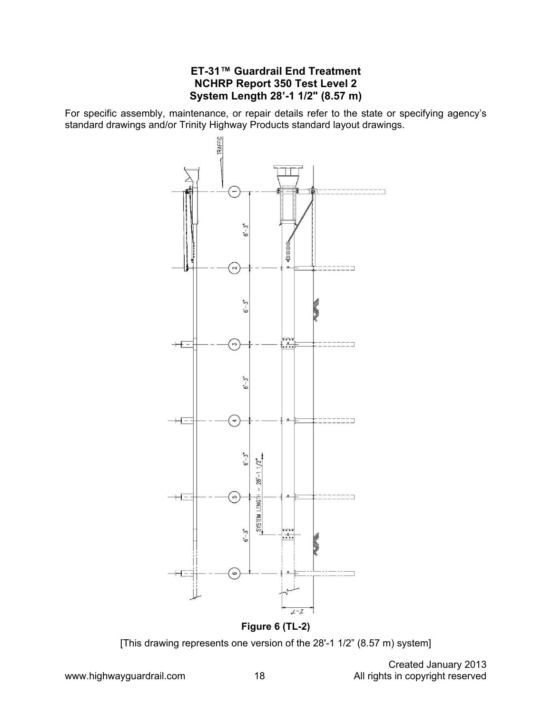#### **ET-31™ Guardrail End Treatment NCHRP Report 350 Test Level 2 System Length 28'-1 1/2" (8.57 m)**

For specific assembly, maintenance, or repair details refer to the state or specifying agency's standard drawings and/or Trinity Highway Products standard layout drawings.



[This drawing represents one version of the 28'-1 1/2" (8.57 m) system]

 Created January 2013 www.highwayguardrail.com 18 18 All rights in copyright reserved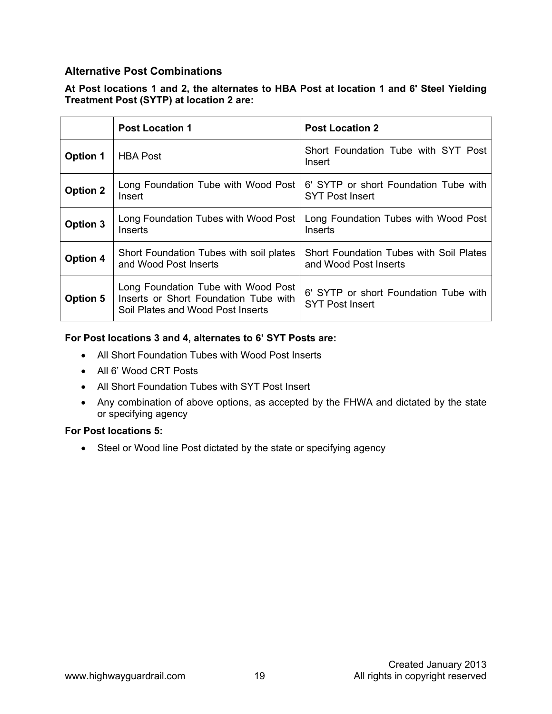#### **Alternative Post Combinations**

#### **At Post locations 1 and 2, the alternates to HBA Post at location 1 and 6' Steel Yielding Treatment Post (SYTP) at location 2 are:**

|                 | <b>Post Location 1</b>                                                                                            | <b>Post Location 2</b>                                           |
|-----------------|-------------------------------------------------------------------------------------------------------------------|------------------------------------------------------------------|
| <b>Option 1</b> | <b>HBA Post</b>                                                                                                   | Short Foundation Tube with SYT Post<br>Insert                    |
| <b>Option 2</b> | Long Foundation Tube with Wood Post<br>Insert                                                                     | 6' SYTP or short Foundation Tube with<br><b>SYT Post Insert</b>  |
| <b>Option 3</b> | Long Foundation Tubes with Wood Post<br>Inserts                                                                   | Long Foundation Tubes with Wood Post<br>Inserts                  |
| <b>Option 4</b> | Short Foundation Tubes with soil plates<br>and Wood Post Inserts                                                  | Short Foundation Tubes with Soil Plates<br>and Wood Post Inserts |
| <b>Option 5</b> | Long Foundation Tube with Wood Post<br>Inserts or Short Foundation Tube with<br>Soil Plates and Wood Post Inserts | 6' SYTP or short Foundation Tube with<br><b>SYT Post Insert</b>  |

#### **For Post locations 3 and 4, alternates to 6' SYT Posts are:**

- All Short Foundation Tubes with Wood Post Inserts
- All 6' Wood CRT Posts
- All Short Foundation Tubes with SYT Post Insert
- Any combination of above options, as accepted by the FHWA and dictated by the state or specifying agency

#### **For Post locations 5:**

• Steel or Wood line Post dictated by the state or specifying agency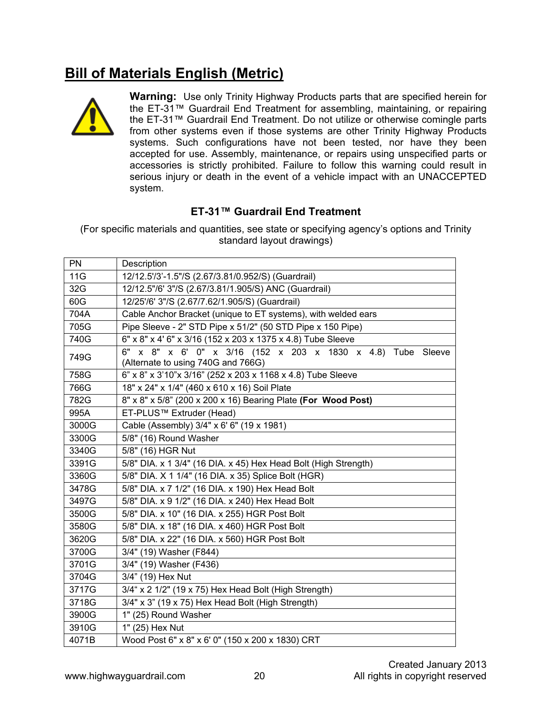### **Bill of Materials English (Metric)**



**Warning:** Use only Trinity Highway Products parts that are specified herein for the ET-31™ Guardrail End Treatment for assembling, maintaining, or repairing the ET-31™ Guardrail End Treatment. Do not utilize or otherwise comingle parts from other systems even if those systems are other Trinity Highway Products systems. Such configurations have not been tested, nor have they been accepted for use. Assembly, maintenance, or repairs using unspecified parts or accessories is strictly prohibited. Failure to follow this warning could result in serious injury or death in the event of a vehicle impact with an UNACCEPTED system.

#### **ET-31™ Guardrail End Treatment**

(For specific materials and quantities, see state or specifying agency's options and Trinity standard layout drawings)

| <b>PN</b> | Description                                                                                       |  |
|-----------|---------------------------------------------------------------------------------------------------|--|
| 11G       | 12/12.5'/3'-1.5"/S (2.67/3.81/0.952/S) (Guardrail)                                                |  |
| 32G       | 12/12.5"/6' 3"/S (2.67/3.81/1.905/S) ANC (Guardrail)                                              |  |
| 60G       | 12/25'/6' 3"/S (2.67/7.62/1.905/S) (Guardrail)                                                    |  |
| 704A      | Cable Anchor Bracket (unique to ET systems), with welded ears                                     |  |
| 705G      | Pipe Sleeve - 2" STD Pipe x 51/2" (50 STD Pipe x 150 Pipe)                                        |  |
| 740G      | 6" x 8" x 4' 6" x 3/16 (152 x 203 x 1375 x 4.8) Tube Sleeve                                       |  |
| 749G      | 6" x 8" x 6' 0" x 3/16 (152 x 203 x 1830 x 4.8) Tube Sleeve<br>(Alternate to using 740G and 766G) |  |
| 758G      | 6" x 8" x 3'10"x 3/16" (252 x 203 x 1168 x 4.8) Tube Sleeve                                       |  |
| 766G      | 18" x 24" x 1/4" (460 x 610 x 16) Soil Plate                                                      |  |
| 782G      | 8" x 8" x 5/8" (200 x 200 x 16) Bearing Plate (For Wood Post)                                     |  |
| 995A      | ET-PLUS™ Extruder (Head)                                                                          |  |
| 3000G     | Cable (Assembly) 3/4" x 6' 6" (19 x 1981)                                                         |  |
| 3300G     | 5/8" (16) Round Washer                                                                            |  |
| 3340G     | 5/8" (16) HGR Nut                                                                                 |  |
| 3391G     | 5/8" DIA. x 1 3/4" (16 DIA. x 45) Hex Head Bolt (High Strength)                                   |  |
| 3360G     | 5/8" DIA. X 1 1/4" (16 DIA. x 35) Splice Bolt (HGR)                                               |  |
| 3478G     | 5/8" DIA. x 7 1/2" (16 DIA. x 190) Hex Head Bolt                                                  |  |
| 3497G     | 5/8" DIA. x 9 1/2" (16 DIA. x 240) Hex Head Bolt                                                  |  |
| 3500G     | 5/8" DIA. x 10" (16 DIA. x 255) HGR Post Bolt                                                     |  |
| 3580G     | 5/8" DIA. x 18" (16 DIA. x 460) HGR Post Bolt                                                     |  |
| 3620G     | 5/8" DIA. x 22" (16 DIA. x 560) HGR Post Bolt                                                     |  |
| 3700G     | 3/4" (19) Washer (F844)                                                                           |  |
| 3701G     | 3/4" (19) Washer (F436)                                                                           |  |
| 3704G     | 3/4" (19) Hex Nut                                                                                 |  |
| 3717G     | 3/4" x 2 1/2" (19 x 75) Hex Head Bolt (High Strength)                                             |  |
| 3718G     | 3/4" x 3" (19 x 75) Hex Head Bolt (High Strength)                                                 |  |
| 3900G     | 1" (25) Round Washer                                                                              |  |
| 3910G     | 1" (25) Hex Nut                                                                                   |  |
| 4071B     | Wood Post 6" x 8" x 6' 0" (150 x 200 x 1830) CRT                                                  |  |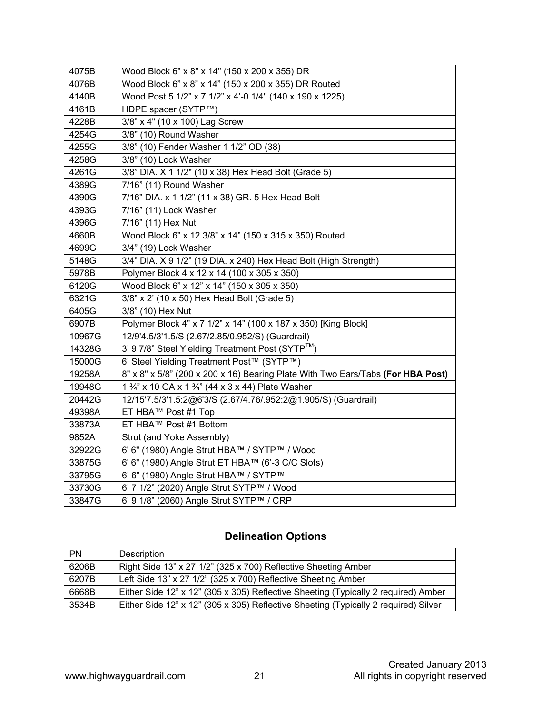| 4075B  | Wood Block 6" x 8" x 14" (150 x 200 x 355) DR                                   |
|--------|---------------------------------------------------------------------------------|
| 4076B  | Wood Block 6" x 8" x 14" (150 x 200 x 355) DR Routed                            |
| 4140B  | Wood Post 5 1/2" x 7 1/2" x 4'-0 1/4" (140 x 190 x 1225)                        |
| 4161B  | HDPE spacer (SYTP™)                                                             |
| 4228B  | 3/8" x 4" (10 x 100) Lag Screw                                                  |
| 4254G  | 3/8" (10) Round Washer                                                          |
| 4255G  | 3/8" (10) Fender Washer 1 1/2" OD (38)                                          |
| 4258G  | 3/8" (10) Lock Washer                                                           |
| 4261G  | 3/8" DIA. X 1 1/2" (10 x 38) Hex Head Bolt (Grade 5)                            |
| 4389G  | 7/16" (11) Round Washer                                                         |
| 4390G  | 7/16" DIA. x 1 1/2" (11 x 38) GR. 5 Hex Head Bolt                               |
| 4393G  | 7/16" (11) Lock Washer                                                          |
| 4396G  | 7/16" (11) Hex Nut                                                              |
| 4660B  | Wood Block 6" x 12 3/8" x 14" (150 x 315 x 350) Routed                          |
| 4699G  | 3/4" (19) Lock Washer                                                           |
| 5148G  | 3/4" DIA. X 9 1/2" (19 DIA. x 240) Hex Head Bolt (High Strength)                |
| 5978B  | Polymer Block 4 x 12 x 14 (100 x 305 x 350)                                     |
| 6120G  | Wood Block 6" x 12" x 14" (150 x 305 x 350)                                     |
| 6321G  | 3/8" x 2' (10 x 50) Hex Head Bolt (Grade 5)                                     |
| 6405G  | 3/8" (10) Hex Nut                                                               |
| 6907B  | Polymer Block 4" x 7 1/2" x 14" (100 x 187 x 350) [King Block]                  |
| 10967G | 12/9'4.5/3'1.5/S (2.67/2.85/0.952/S) (Guardrail)                                |
| 14328G | 3' 9 7/8" Steel Yielding Treatment Post (SYTP™)                                 |
| 15000G | 6' Steel Yielding Treatment Post™ (SYTP™)                                       |
| 19258A | 8" x 8" x 5/8" (200 x 200 x 16) Bearing Plate With Two Ears/Tabs (For HBA Post) |
| 19948G | 1 3/4" x 10 GA x 1 3/4" (44 x 3 x 44) Plate Washer                              |
| 20442G | 12/15'7.5/3'1.5:2@6'3/S (2.67/4.76/.952:2@1.905/S) (Guardrail)                  |
| 49398A | ET HBA™ Post #1 Top                                                             |
| 33873A | ET HBA™ Post #1 Bottom                                                          |
| 9852A  | Strut (and Yoke Assembly)                                                       |
| 32922G | 6' 6" (1980) Angle Strut HBA™ / SYTP™ / Wood                                    |
| 33875G | 6' 6" (1980) Angle Strut ET HBA™ (6'-3 C/C Slots)                               |
| 33795G | 6' 6" (1980) Angle Strut HBA™ / SYTP™                                           |
| 33730G | 6' 7 1/2" (2020) Angle Strut SYTP™ / Wood                                       |
| 33847G | 6' 9 1/8" (2060) Angle Strut SYTP™ / CRP                                        |
|        |                                                                                 |

### **Delineation Options**

| <b>PN</b> | Description                                                                         |
|-----------|-------------------------------------------------------------------------------------|
| 6206B     | Right Side 13" x 27 1/2" (325 x 700) Reflective Sheeting Amber                      |
| 6207B     | Left Side 13" x 27 1/2" (325 x 700) Reflective Sheeting Amber                       |
| 6668B     | Either Side 12" x 12" (305 x 305) Reflective Sheeting (Typically 2 required) Amber  |
| 3534B     | Either Side 12" x 12" (305 x 305) Reflective Sheeting (Typically 2 required) Silver |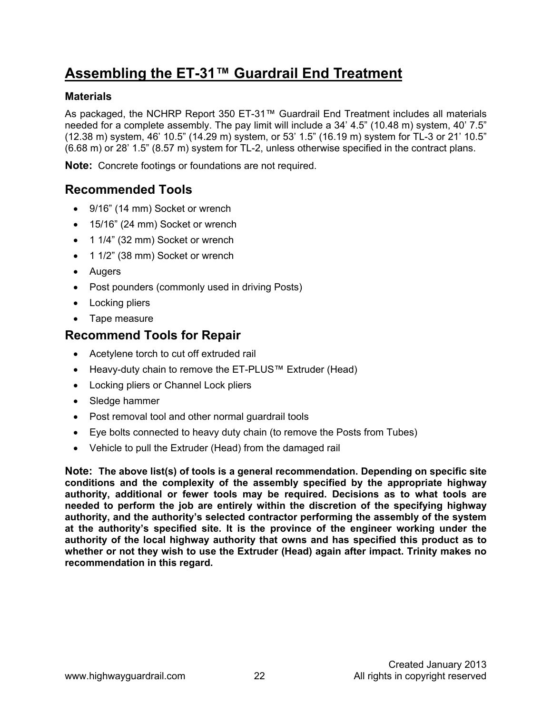### **Assembling the ET-31™ Guardrail End Treatment**

#### **Materials**

As packaged, the NCHRP Report 350 ET-31™ Guardrail End Treatment includes all materials needed for a complete assembly. The pay limit will include a 34' 4.5" (10.48 m) system, 40' 7.5" (12.38 m) system, 46' 10.5" (14.29 m) system, or 53' 1.5" (16.19 m) system for TL-3 or 21' 10.5" (6.68 m) or 28' 1.5" (8.57 m) system for TL-2, unless otherwise specified in the contract plans.

**Note:** Concrete footings or foundations are not required.

### **Recommended Tools**

- 9/16" (14 mm) Socket or wrench
- 15/16" (24 mm) Socket or wrench
- 1 1/4" (32 mm) Socket or wrench
- 1 1/2" (38 mm) Socket or wrench
- Augers
- Post pounders (commonly used in driving Posts)
- Locking pliers
- Tape measure

### **Recommend Tools for Repair**

- Acetylene torch to cut off extruded rail
- Heavy-duty chain to remove the ET-PLUS™ Extruder (Head)
- Locking pliers or Channel Lock pliers
- Sledge hammer
- Post removal tool and other normal quardrail tools
- Eye bolts connected to heavy duty chain (to remove the Posts from Tubes)
- Vehicle to pull the Extruder (Head) from the damaged rail

**Note: The above list(s) of tools is a general recommendation. Depending on specific site conditions and the complexity of the assembly specified by the appropriate highway authority, additional or fewer tools may be required. Decisions as to what tools are needed to perform the job are entirely within the discretion of the specifying highway authority, and the authority's selected contractor performing the assembly of the system at the authority's specified site. It is the province of the engineer working under the authority of the local highway authority that owns and has specified this product as to whether or not they wish to use the Extruder (Head) again after impact. Trinity makes no recommendation in this regard.**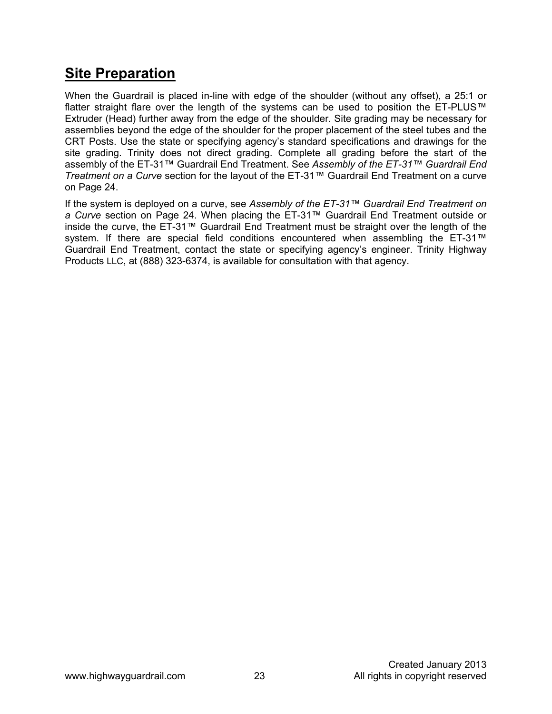### **Site Preparation**

When the Guardrail is placed in-line with edge of the shoulder (without any offset), a 25:1 or flatter straight flare over the length of the systems can be used to position the ET-PLUS™ Extruder (Head) further away from the edge of the shoulder. Site grading may be necessary for assemblies beyond the edge of the shoulder for the proper placement of the steel tubes and the CRT Posts. Use the state or specifying agency's standard specifications and drawings for the site grading. Trinity does not direct grading. Complete all grading before the start of the assembly of the ET-31™ Guardrail End Treatment. See *Assembly of the ET-31™ Guardrail End Treatment on a Curve* section for the layout of the ET-31™ Guardrail End Treatment on a curve on Page 24.

If the system is deployed on a curve, see *Assembly of the ET-31™ Guardrail End Treatment on a Curve* section on Page 24. When placing the ET-31™ Guardrail End Treatment outside or inside the curve, the ET-31™ Guardrail End Treatment must be straight over the length of the system. If there are special field conditions encountered when assembling the ET-31™ Guardrail End Treatment, contact the state or specifying agency's engineer. Trinity Highway Products LLC, at (888) 323-6374, is available for consultation with that agency.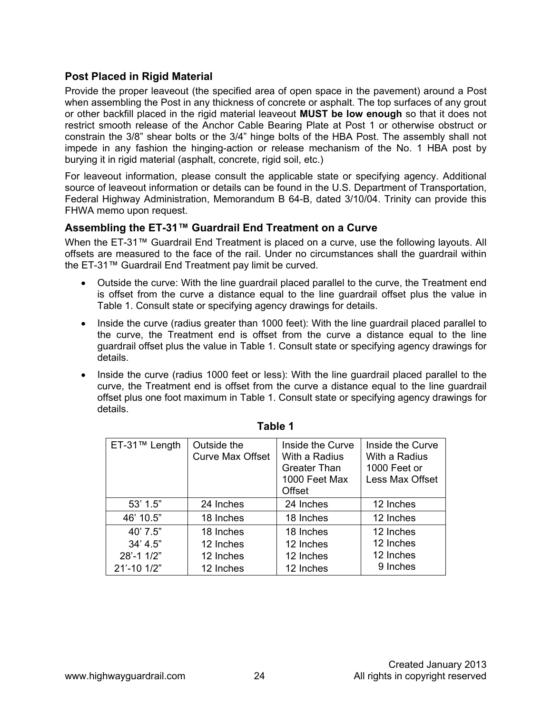#### **Post Placed in Rigid Material**

Provide the proper leaveout (the specified area of open space in the pavement) around a Post when assembling the Post in any thickness of concrete or asphalt. The top surfaces of any grout or other backfill placed in the rigid material leaveout **MUST be low enough** so that it does not restrict smooth release of the Anchor Cable Bearing Plate at Post 1 or otherwise obstruct or constrain the 3/8" shear bolts or the 3/4" hinge bolts of the HBA Post. The assembly shall not impede in any fashion the hinging-action or release mechanism of the No. 1 HBA post by burying it in rigid material (asphalt, concrete, rigid soil, etc.)

For leaveout information, please consult the applicable state or specifying agency. Additional source of leaveout information or details can be found in the U.S. Department of Transportation, Federal Highway Administration, Memorandum B 64-B, dated 3/10/04. Trinity can provide this FHWA memo upon request.

#### **Assembling the ET-31™ Guardrail End Treatment on a Curve**

When the ET-31™ Guardrail End Treatment is placed on a curve, use the following layouts. All offsets are measured to the face of the rail. Under no circumstances shall the guardrail within the ET-31™ Guardrail End Treatment pay limit be curved.

- Outside the curve: With the line guardrail placed parallel to the curve, the Treatment end is offset from the curve a distance equal to the line guardrail offset plus the value in Table 1. Consult state or specifying agency drawings for details.
- Inside the curve (radius greater than 1000 feet): With the line guardrail placed parallel to the curve, the Treatment end is offset from the curve a distance equal to the line guardrail offset plus the value in Table 1. Consult state or specifying agency drawings for details.
- Inside the curve (radius 1000 feet or less): With the line guardrail placed parallel to the curve, the Treatment end is offset from the curve a distance equal to the line guardrail offset plus one foot maximum in Table 1. Consult state or specifying agency drawings for details.

| ET-31™ Length | Outside the<br><b>Curve Max Offset</b> | Inside the Curve<br>With a Radius<br><b>Greater Than</b><br>1000 Feet Max<br>Offset | Inside the Curve<br>With a Radius<br>1000 Feet or<br>Less Max Offset |
|---------------|----------------------------------------|-------------------------------------------------------------------------------------|----------------------------------------------------------------------|
| 53' 1.5"      | 24 Inches                              | 24 Inches                                                                           | 12 Inches                                                            |
| 46' 10.5"     | 18 Inches                              | 18 Inches                                                                           | 12 Inches                                                            |
| 40' 7.5"      | 18 Inches                              | 18 Inches                                                                           | 12 Inches                                                            |
| 34' 4.5''     | 12 Inches                              | 12 Inches                                                                           | 12 Inches                                                            |
| 28'-1 1/2"    | 12 Inches                              | 12 Inches                                                                           | 12 Inches                                                            |
| 21'-10 1/2"   | 12 Inches                              | 12 Inches                                                                           | 9 Inches                                                             |

#### **Table 1**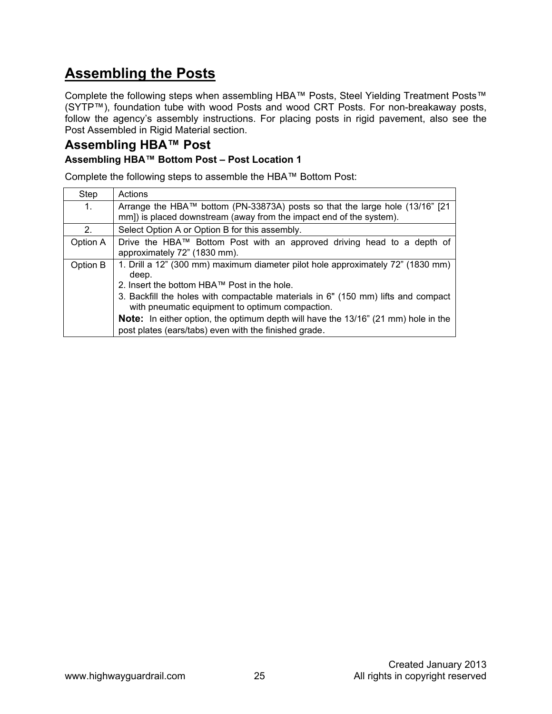### **Assembling the Posts**

Complete the following steps when assembling HBA™ Posts, Steel Yielding Treatment Posts™ (SYTP™), foundation tube with wood Posts and wood CRT Posts. For non-breakaway posts, follow the agency's assembly instructions. For placing posts in rigid pavement, also see the Post Assembled in Rigid Material section.

#### **Assembling HBA™ Post Assembling HBA™ Bottom Post – Post Location 1**

Complete the following steps to assemble the HBA™ Bottom Post:

| Step     | Actions                                                                                                                                                                                                                                                                                                                                                                                                                               |
|----------|---------------------------------------------------------------------------------------------------------------------------------------------------------------------------------------------------------------------------------------------------------------------------------------------------------------------------------------------------------------------------------------------------------------------------------------|
| 1.       | Arrange the HBA™ bottom (PN-33873A) posts so that the large hole (13/16" [21<br>mm]) is placed downstream (away from the impact end of the system).                                                                                                                                                                                                                                                                                   |
| 2.       | Select Option A or Option B for this assembly.                                                                                                                                                                                                                                                                                                                                                                                        |
| Option A | Drive the HBA™ Bottom Post with an approved driving head to a depth of<br>approximately 72" (1830 mm).                                                                                                                                                                                                                                                                                                                                |
| Option B | 1. Drill a 12" (300 mm) maximum diameter pilot hole approximately 72" (1830 mm)<br>deep.<br>2. Insert the bottom HBA™ Post in the hole.<br>3. Backfill the holes with compactable materials in 6" (150 mm) lifts and compact<br>with pneumatic equipment to optimum compaction.<br><b>Note:</b> In either option, the optimum depth will have the 13/16" (21 mm) hole in the<br>post plates (ears/tabs) even with the finished grade. |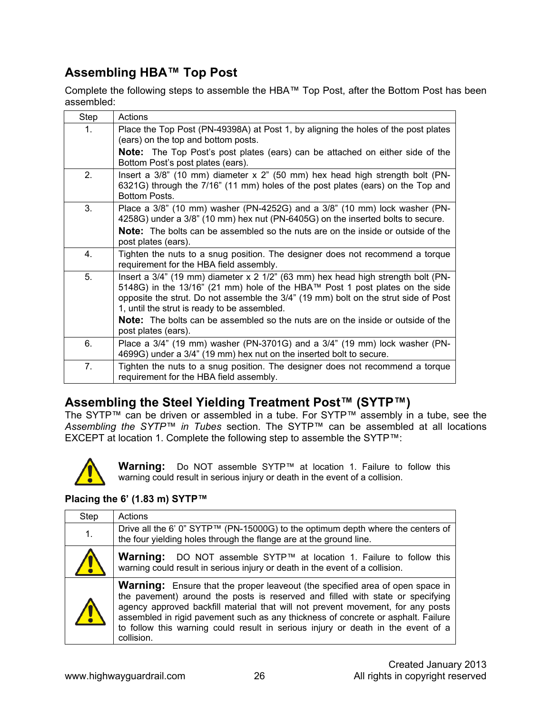### **Assembling HBA™ Top Post**

Complete the following steps to assemble the HBA™ Top Post, after the Bottom Post has been assembled:

| Step           | Actions                                                                                                                                                                                                                                                                                                       |
|----------------|---------------------------------------------------------------------------------------------------------------------------------------------------------------------------------------------------------------------------------------------------------------------------------------------------------------|
| $\mathbf{1}$ . | Place the Top Post (PN-49398A) at Post 1, by aligning the holes of the post plates<br>(ears) on the top and bottom posts.                                                                                                                                                                                     |
|                | Note: The Top Post's post plates (ears) can be attached on either side of the<br>Bottom Post's post plates (ears).                                                                                                                                                                                            |
| 2.             | Insert a $3/8$ " (10 mm) diameter x $2$ " (50 mm) hex head high strength bolt (PN-<br>6321G) through the 7/16" (11 mm) holes of the post plates (ears) on the Top and<br>Bottom Posts.                                                                                                                        |
| 3.             | Place a $3/8$ " (10 mm) washer (PN-4252G) and a $3/8$ " (10 mm) lock washer (PN-<br>4258G) under a 3/8" (10 mm) hex nut (PN-6405G) on the inserted bolts to secure.                                                                                                                                           |
|                | <b>Note:</b> The bolts can be assembled so the nuts are on the inside or outside of the<br>post plates (ears).                                                                                                                                                                                                |
| 4.             | Tighten the nuts to a snug position. The designer does not recommend a torque<br>requirement for the HBA field assembly.                                                                                                                                                                                      |
| 5.             | Insert a $3/4$ " (19 mm) diameter x 2 $1/2$ " (63 mm) hex head high strength bolt (PN-<br>5148G) in the 13/16" (21 mm) hole of the HBA™ Post 1 post plates on the side<br>opposite the strut. Do not assemble the 3/4" (19 mm) bolt on the strut side of Post<br>1, until the strut is ready to be assembled. |
|                | <b>Note:</b> The bolts can be assembled so the nuts are on the inside or outside of the<br>post plates (ears).                                                                                                                                                                                                |
| 6.             | Place a 3/4" (19 mm) washer (PN-3701G) and a 3/4" (19 mm) lock washer (PN-<br>4699G) under a 3/4" (19 mm) hex nut on the inserted bolt to secure.                                                                                                                                                             |
| 7.             | Tighten the nuts to a snug position. The designer does not recommend a torque<br>requirement for the HBA field assembly.                                                                                                                                                                                      |

### **Assembling the Steel Yielding Treatment Post™ (SYTP™)**

The SYTP™ can be driven or assembled in a tube. For SYTP™ assembly in a tube, see the *Assembling the SYTP™ in Tubes* section. The SYTP™ can be assembled at all locations EXCEPT at location 1. Complete the following step to assemble the SYTP™:



**Warning:** Do NOT assemble SYTP™ at location 1. Failure to follow this warning could result in serious injury or death in the event of a collision.

#### **Placing the 6' (1.83 m) SYTP™**

| Step       | Actions                                                                                                                                                                                                                                                                                                                                                                                                                                          |
|------------|--------------------------------------------------------------------------------------------------------------------------------------------------------------------------------------------------------------------------------------------------------------------------------------------------------------------------------------------------------------------------------------------------------------------------------------------------|
| 1.         | Drive all the 6' 0" SYTP™ (PN-15000G) to the optimum depth where the centers of<br>the four yielding holes through the flange are at the ground line.                                                                                                                                                                                                                                                                                            |
|            | Warning: DO NOT assemble SYTP™ at location 1. Failure to follow this<br>warning could result in serious injury or death in the event of a collision.                                                                                                                                                                                                                                                                                             |
| <u>/ !</u> | <b>Warning:</b> Ensure that the proper leaveout (the specified area of open space in<br>the pavement) around the posts is reserved and filled with state or specifying<br>agency approved backfill material that will not prevent movement, for any posts<br>assembled in rigid pavement such as any thickness of concrete or asphalt. Failure<br>to follow this warning could result in serious injury or death in the event of a<br>collision. |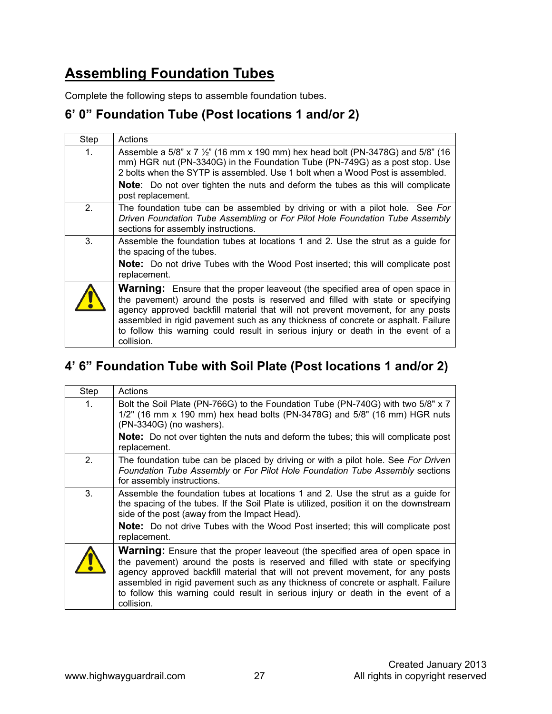### **Assembling Foundation Tubes**

Complete the following steps to assemble foundation tubes.

#### **6' 0" Foundation Tube (Post locations 1 and/or 2)**

| Step           | Actions                                                                                                                                                                                                                                                                                                                                                                                                                                          |
|----------------|--------------------------------------------------------------------------------------------------------------------------------------------------------------------------------------------------------------------------------------------------------------------------------------------------------------------------------------------------------------------------------------------------------------------------------------------------|
| 1 <sub>1</sub> | Assemble a 5/8" x 7 $\frac{1}{2}$ " (16 mm x 190 mm) hex head bolt (PN-3478G) and 5/8" (16<br>mm) HGR nut (PN-3340G) in the Foundation Tube (PN-749G) as a post stop. Use<br>2 bolts when the SYTP is assembled. Use 1 bolt when a Wood Post is assembled.<br><b>Note:</b> Do not over tighten the nuts and deform the tubes as this will complicate                                                                                             |
|                | post replacement.                                                                                                                                                                                                                                                                                                                                                                                                                                |
| 2.             | The foundation tube can be assembled by driving or with a pilot hole. See For<br>Driven Foundation Tube Assembling or For Pilot Hole Foundation Tube Assembly<br>sections for assembly instructions.                                                                                                                                                                                                                                             |
| 3.             | Assemble the foundation tubes at locations 1 and 2. Use the strut as a guide for<br>the spacing of the tubes.                                                                                                                                                                                                                                                                                                                                    |
|                | <b>Note:</b> Do not drive Tubes with the Wood Post inserted; this will complicate post<br>replacement.                                                                                                                                                                                                                                                                                                                                           |
|                | <b>Warning:</b> Ensure that the proper leaveout (the specified area of open space in<br>the pavement) around the posts is reserved and filled with state or specifying<br>agency approved backfill material that will not prevent movement, for any posts<br>assembled in rigid pavement such as any thickness of concrete or asphalt. Failure<br>to follow this warning could result in serious injury or death in the event of a<br>collision. |

### **4' 6" Foundation Tube with Soil Plate (Post locations 1 and/or 2)**

| Step           | Actions                                                                                                                                                                                                                                                                                                                                                                                                                                          |
|----------------|--------------------------------------------------------------------------------------------------------------------------------------------------------------------------------------------------------------------------------------------------------------------------------------------------------------------------------------------------------------------------------------------------------------------------------------------------|
| 1 <sub>1</sub> | Bolt the Soil Plate (PN-766G) to the Foundation Tube (PN-740G) with two 5/8" x 7<br>$1/2$ " (16 mm x 190 mm) hex head bolts (PN-3478G) and $5/8$ " (16 mm) HGR nuts<br>(PN-3340G) (no washers).                                                                                                                                                                                                                                                  |
|                | <b>Note:</b> Do not over tighten the nuts and deform the tubes; this will complicate post<br>replacement.                                                                                                                                                                                                                                                                                                                                        |
| 2.             | The foundation tube can be placed by driving or with a pilot hole. See For Driven<br>Foundation Tube Assembly or For Pilot Hole Foundation Tube Assembly sections<br>for assembly instructions.                                                                                                                                                                                                                                                  |
| 3.             | Assemble the foundation tubes at locations 1 and 2. Use the strut as a guide for<br>the spacing of the tubes. If the Soil Plate is utilized, position it on the downstream<br>side of the post (away from the Impact Head).                                                                                                                                                                                                                      |
|                | <b>Note:</b> Do not drive Tubes with the Wood Post inserted; this will complicate post<br>replacement.                                                                                                                                                                                                                                                                                                                                           |
|                | <b>Warning:</b> Ensure that the proper leaveout (the specified area of open space in<br>the pavement) around the posts is reserved and filled with state or specifying<br>agency approved backfill material that will not prevent movement, for any posts<br>assembled in rigid pavement such as any thickness of concrete or asphalt. Failure<br>to follow this warning could result in serious injury or death in the event of a<br>collision. |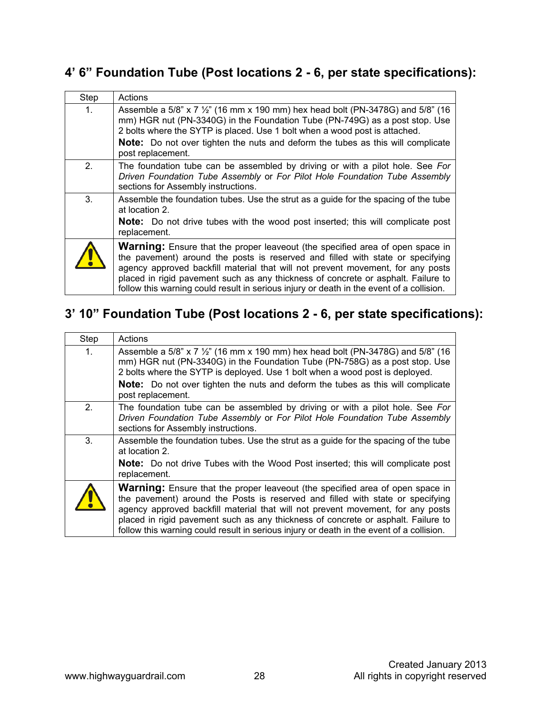### **4' 6" Foundation Tube (Post locations 2 - 6, per state specifications):**

| Step           | Actions                                                                                                                                                                                                                                                                                                                                                                                                                                    |
|----------------|--------------------------------------------------------------------------------------------------------------------------------------------------------------------------------------------------------------------------------------------------------------------------------------------------------------------------------------------------------------------------------------------------------------------------------------------|
| 1 <sub>1</sub> | Assemble a 5/8" x 7 $\frac{1}{2}$ " (16 mm x 190 mm) hex head bolt (PN-3478G) and 5/8" (16<br>mm) HGR nut (PN-3340G) in the Foundation Tube (PN-749G) as a post stop. Use<br>2 bolts where the SYTP is placed. Use 1 bolt when a wood post is attached.                                                                                                                                                                                    |
|                | <b>Note:</b> Do not over tighten the nuts and deform the tubes as this will complicate<br>post replacement.                                                                                                                                                                                                                                                                                                                                |
| 2.             | The foundation tube can be assembled by driving or with a pilot hole. See For<br>Driven Foundation Tube Assembly or For Pilot Hole Foundation Tube Assembly<br>sections for Assembly instructions.                                                                                                                                                                                                                                         |
| 3.             | Assemble the foundation tubes. Use the strut as a guide for the spacing of the tube<br>at location 2.                                                                                                                                                                                                                                                                                                                                      |
|                | <b>Note:</b> Do not drive tubes with the wood post inserted; this will complicate post<br>replacement.                                                                                                                                                                                                                                                                                                                                     |
|                | <b>Warning:</b> Ensure that the proper leaveout (the specified area of open space in<br>the pavement) around the posts is reserved and filled with state or specifying<br>agency approved backfill material that will not prevent movement, for any posts<br>placed in rigid pavement such as any thickness of concrete or asphalt. Failure to<br>follow this warning could result in serious injury or death in the event of a collision. |

### **3' 10" Foundation Tube (Post locations 2 - 6, per state specifications):**

| Step           | Actions                                                                                                                                                                                                                                                                                                                                                                                                                                    |
|----------------|--------------------------------------------------------------------------------------------------------------------------------------------------------------------------------------------------------------------------------------------------------------------------------------------------------------------------------------------------------------------------------------------------------------------------------------------|
| 1 <sub>1</sub> | Assemble a 5/8" x 7 $\frac{1}{2}$ " (16 mm x 190 mm) hex head bolt (PN-3478G) and 5/8" (16<br>mm) HGR nut (PN-3340G) in the Foundation Tube (PN-758G) as a post stop. Use<br>2 bolts where the SYTP is deployed. Use 1 bolt when a wood post is deployed.<br><b>Note:</b> Do not over tighten the nuts and deform the tubes as this will complicate<br>post replacement.                                                                   |
| 2.             | The foundation tube can be assembled by driving or with a pilot hole. See For<br>Driven Foundation Tube Assembly or For Pilot Hole Foundation Tube Assembly<br>sections for Assembly instructions.                                                                                                                                                                                                                                         |
| 3.             | Assemble the foundation tubes. Use the strut as a guide for the spacing of the tube<br>at location 2.                                                                                                                                                                                                                                                                                                                                      |
|                | <b>Note:</b> Do not drive Tubes with the Wood Post inserted; this will complicate post<br>replacement.                                                                                                                                                                                                                                                                                                                                     |
| $\bullet$      | <b>Warning:</b> Ensure that the proper leaveout (the specified area of open space in<br>the pavement) around the Posts is reserved and filled with state or specifying<br>agency approved backfill material that will not prevent movement, for any posts<br>placed in rigid pavement such as any thickness of concrete or asphalt. Failure to<br>follow this warning could result in serious injury or death in the event of a collision. |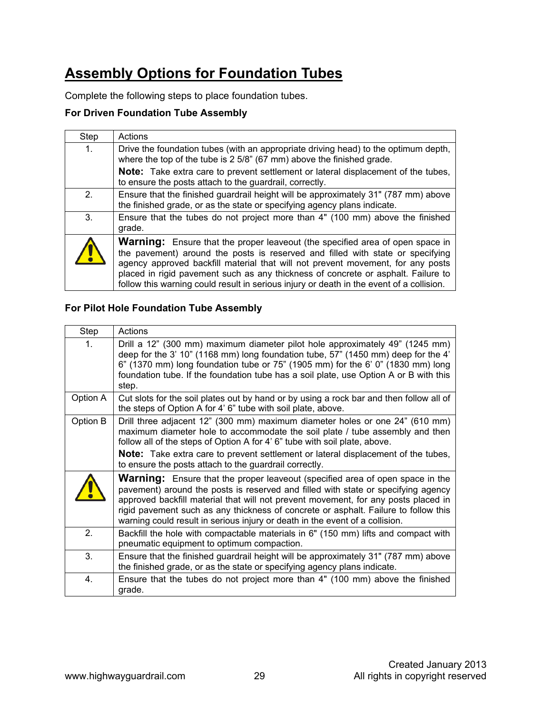### **Assembly Options for Foundation Tubes**

Complete the following steps to place foundation tubes.

#### **For Driven Foundation Tube Assembly**

| Step           | Actions                                                                                                                                                                                                                                                                                                                                                                                                                                    |
|----------------|--------------------------------------------------------------------------------------------------------------------------------------------------------------------------------------------------------------------------------------------------------------------------------------------------------------------------------------------------------------------------------------------------------------------------------------------|
| $\mathbf{1}$ . | Drive the foundation tubes (with an appropriate driving head) to the optimum depth,<br>where the top of the tube is 2 5/8" (67 mm) above the finished grade.                                                                                                                                                                                                                                                                               |
|                | <b>Note:</b> Take extra care to prevent settlement or lateral displacement of the tubes,<br>to ensure the posts attach to the guardrail, correctly.                                                                                                                                                                                                                                                                                        |
| 2 <sub>1</sub> | Ensure that the finished guardrail height will be approximately 31" (787 mm) above<br>the finished grade, or as the state or specifying agency plans indicate.                                                                                                                                                                                                                                                                             |
| 3.             | Ensure that the tubes do not project more than 4" (100 mm) above the finished<br>grade.                                                                                                                                                                                                                                                                                                                                                    |
| <b>/ \</b>     | <b>Warning:</b> Ensure that the proper leaveout (the specified area of open space in<br>the pavement) around the posts is reserved and filled with state or specifying<br>agency approved backfill material that will not prevent movement, for any posts<br>placed in rigid pavement such as any thickness of concrete or asphalt. Failure to<br>follow this warning could result in serious injury or death in the event of a collision. |

#### **For Pilot Hole Foundation Tube Assembly**

| Step     | Actions                                                                                                                                                                                                                                                                                                                                                                                                                                |
|----------|----------------------------------------------------------------------------------------------------------------------------------------------------------------------------------------------------------------------------------------------------------------------------------------------------------------------------------------------------------------------------------------------------------------------------------------|
| 1.       | Drill a 12" (300 mm) maximum diameter pilot hole approximately 49" (1245 mm)<br>deep for the 3' 10" (1168 mm) long foundation tube, 57" (1450 mm) deep for the 4'<br>$6"$ (1370 mm) long foundation tube or 75" (1905 mm) for the 6' 0" (1830 mm) long<br>foundation tube. If the foundation tube has a soil plate, use Option A or B with this<br>step.                                                                               |
| Option A | Cut slots for the soil plates out by hand or by using a rock bar and then follow all of<br>the steps of Option A for 4' 6" tube with soil plate, above.                                                                                                                                                                                                                                                                                |
| Option B | Drill three adjacent 12" (300 mm) maximum diameter holes or one 24" (610 mm)<br>maximum diameter hole to accommodate the soil plate / tube assembly and then<br>follow all of the steps of Option A for 4' 6" tube with soil plate, above.<br><b>Note:</b> Take extra care to prevent settlement or lateral displacement of the tubes,<br>to ensure the posts attach to the guardrail correctly.                                       |
|          | <b>Warning:</b> Ensure that the proper leaveout (specified area of open space in the<br>pavement) around the posts is reserved and filled with state or specifying agency<br>approved backfill material that will not prevent movement, for any posts placed in<br>rigid pavement such as any thickness of concrete or asphalt. Failure to follow this<br>warning could result in serious injury or death in the event of a collision. |
| 2.       | Backfill the hole with compactable materials in 6" (150 mm) lifts and compact with<br>pneumatic equipment to optimum compaction.                                                                                                                                                                                                                                                                                                       |
| 3.       | Ensure that the finished guardrail height will be approximately 31" (787 mm) above<br>the finished grade, or as the state or specifying agency plans indicate.                                                                                                                                                                                                                                                                         |
| 4.       | Ensure that the tubes do not project more than 4" (100 mm) above the finished<br>grade.                                                                                                                                                                                                                                                                                                                                                |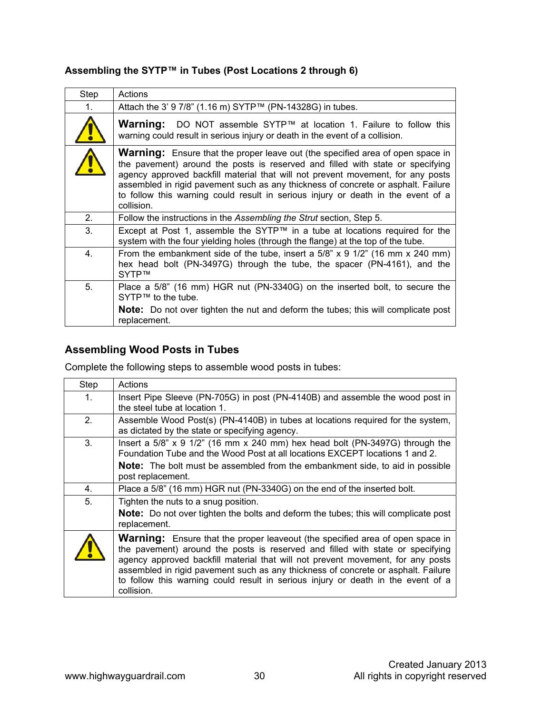| Step           | Actions                                                                                                                                                                                                                                                                                                                                                                                                                                           |
|----------------|---------------------------------------------------------------------------------------------------------------------------------------------------------------------------------------------------------------------------------------------------------------------------------------------------------------------------------------------------------------------------------------------------------------------------------------------------|
| 1 <sub>1</sub> | Attach the 3' 9 7/8" (1.16 m) SYTP™ (PN-14328G) in tubes.                                                                                                                                                                                                                                                                                                                                                                                         |
|                | <b>Warning:</b> DO NOT assemble SYTP™ at location 1. Failure to follow this<br>warning could result in serious injury or death in the event of a collision.                                                                                                                                                                                                                                                                                       |
|                | <b>Warning:</b> Ensure that the proper leave out (the specified area of open space in<br>the pavement) around the posts is reserved and filled with state or specifying<br>agency approved backfill material that will not prevent movement, for any posts<br>assembled in rigid pavement such as any thickness of concrete or asphalt. Failure<br>to follow this warning could result in serious injury or death in the event of a<br>collision. |
| 2 <sub>1</sub> | Follow the instructions in the Assembling the Strut section, Step 5.                                                                                                                                                                                                                                                                                                                                                                              |
| 3.             | Except at Post 1, assemble the SYTP™ in a tube at locations required for the<br>system with the four yielding holes (through the flange) at the top of the tube.                                                                                                                                                                                                                                                                                  |
| 4.             | From the embankment side of the tube, insert a 5/8" x 9 1/2" (16 mm x 240 mm)<br>hex head bolt (PN-3497G) through the tube, the spacer (PN-4161), and the<br>SYTP™                                                                                                                                                                                                                                                                                |
| 5.             | Place a 5/8" (16 mm) HGR nut (PN-3340G) on the inserted bolt, to secure the<br>$SYTP^{TM}$ to the tube.                                                                                                                                                                                                                                                                                                                                           |
|                | <b>Note:</b> Do not over tighten the nut and deform the tubes; this will complicate post<br>replacement.                                                                                                                                                                                                                                                                                                                                          |

#### **Assembling the SYTP™ in Tubes (Post Locations 2 through 6)**

#### **Assembling Wood Posts in Tubes**

Complete the following steps to assemble wood posts in tubes:

| Step           | Actions                                                                                                                                                                                                                                                                                                                                                                                                                                          |
|----------------|--------------------------------------------------------------------------------------------------------------------------------------------------------------------------------------------------------------------------------------------------------------------------------------------------------------------------------------------------------------------------------------------------------------------------------------------------|
| $\mathbf{1}$ . | Insert Pipe Sleeve (PN-705G) in post (PN-4140B) and assemble the wood post in<br>the steel tube at location 1.                                                                                                                                                                                                                                                                                                                                   |
| 2.             | Assemble Wood Post(s) (PN-4140B) in tubes at locations required for the system,<br>as dictated by the state or specifying agency.                                                                                                                                                                                                                                                                                                                |
| 3.             | Insert a $5/8$ " x 9 $1/2$ " (16 mm x 240 mm) hex head bolt (PN-3497G) through the<br>Foundation Tube and the Wood Post at all locations EXCEPT locations 1 and 2.<br><b>Note:</b> The bolt must be assembled from the embankment side, to aid in possible<br>post replacement.                                                                                                                                                                  |
| 4.             | Place a 5/8" (16 mm) HGR nut (PN-3340G) on the end of the inserted bolt.                                                                                                                                                                                                                                                                                                                                                                         |
| 5.             | Tighten the nuts to a snug position.<br><b>Note:</b> Do not over tighten the bolts and deform the tubes; this will complicate post<br>replacement.                                                                                                                                                                                                                                                                                               |
|                | <b>Warning:</b> Ensure that the proper leaveout (the specified area of open space in<br>the pavement) around the posts is reserved and filled with state or specifying<br>agency approved backfill material that will not prevent movement, for any posts<br>assembled in rigid pavement such as any thickness of concrete or asphalt. Failure<br>to follow this warning could result in serious injury or death in the event of a<br>collision. |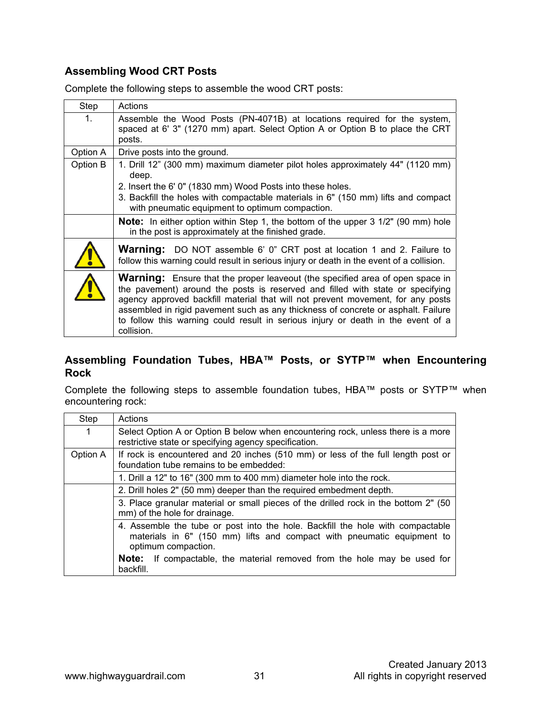#### **Assembling Wood CRT Posts**

Complete the following steps to assemble the wood CRT posts:

| Step        | Actions                                                                                                                                                                                                                                                                                                                                                                                                                                          |
|-------------|--------------------------------------------------------------------------------------------------------------------------------------------------------------------------------------------------------------------------------------------------------------------------------------------------------------------------------------------------------------------------------------------------------------------------------------------------|
| $1_{\cdot}$ | Assemble the Wood Posts (PN-4071B) at locations required for the system,<br>spaced at 6' 3" (1270 mm) apart. Select Option A or Option B to place the CRT<br>posts.                                                                                                                                                                                                                                                                              |
| Option A    | Drive posts into the ground.                                                                                                                                                                                                                                                                                                                                                                                                                     |
| Option B    | 1. Drill 12" (300 mm) maximum diameter pilot holes approximately 44" (1120 mm)<br>deep.                                                                                                                                                                                                                                                                                                                                                          |
|             | 2. Insert the 6' 0" (1830 mm) Wood Posts into these holes.                                                                                                                                                                                                                                                                                                                                                                                       |
|             | 3. Backfill the holes with compactable materials in 6" (150 mm) lifts and compact<br>with pneumatic equipment to optimum compaction.                                                                                                                                                                                                                                                                                                             |
|             | <b>Note:</b> In either option within Step 1, the bottom of the upper 3 1/2" (90 mm) hole<br>in the post is approximately at the finished grade.                                                                                                                                                                                                                                                                                                  |
|             | <b>Warning:</b> DO NOT assemble 6' 0" CRT post at location 1 and 2. Failure to<br>follow this warning could result in serious injury or death in the event of a collision.                                                                                                                                                                                                                                                                       |
|             | <b>Warning:</b> Ensure that the proper leaveout (the specified area of open space in<br>the pavement) around the posts is reserved and filled with state or specifying<br>agency approved backfill material that will not prevent movement, for any posts<br>assembled in rigid pavement such as any thickness of concrete or asphalt. Failure<br>to follow this warning could result in serious injury or death in the event of a<br>collision. |

#### **Assembling Foundation Tubes, HBA™ Posts, or SYTP™ when Encountering Rock**

Complete the following steps to assemble foundation tubes, HBA™ posts or SYTP™ when encountering rock:

| Step     | Actions                                                                                                                                                                         |
|----------|---------------------------------------------------------------------------------------------------------------------------------------------------------------------------------|
| 1        | Select Option A or Option B below when encountering rock, unless there is a more<br>restrictive state or specifying agency specification.                                       |
| Option A | If rock is encountered and 20 inches (510 mm) or less of the full length post or<br>foundation tube remains to be embedded:                                                     |
|          | 1. Drill a 12" to 16" (300 mm to 400 mm) diameter hole into the rock.                                                                                                           |
|          | 2. Drill holes 2" (50 mm) deeper than the required embedment depth.                                                                                                             |
|          | 3. Place granular material or small pieces of the drilled rock in the bottom 2" (50<br>mm) of the hole for drainage.                                                            |
|          | 4. Assemble the tube or post into the hole. Backfill the hole with compactable<br>materials in 6" (150 mm) lifts and compact with pneumatic equipment to<br>optimum compaction. |
|          | <b>Note:</b> If compactable, the material removed from the hole may be used for<br>backfill.                                                                                    |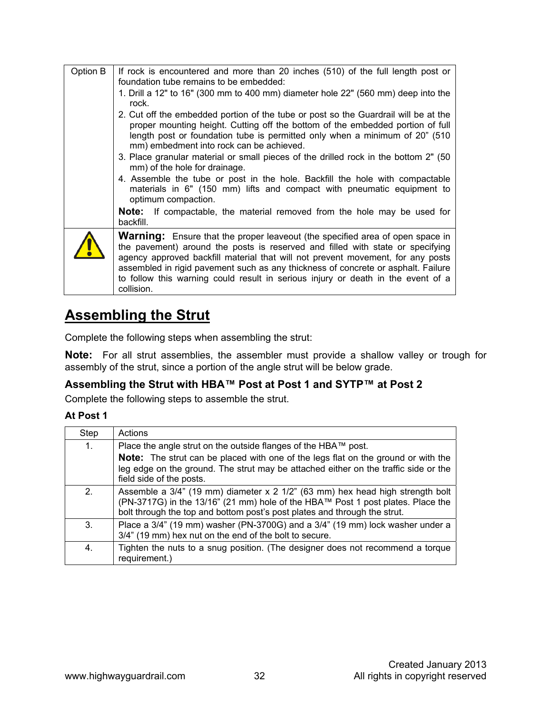| Option B | If rock is encountered and more than 20 inches (510) of the full length post or<br>foundation tube remains to be embedded:                                                                                                                                                                                                                                                                                                                       |
|----------|--------------------------------------------------------------------------------------------------------------------------------------------------------------------------------------------------------------------------------------------------------------------------------------------------------------------------------------------------------------------------------------------------------------------------------------------------|
|          | 1. Drill a 12" to 16" (300 mm to 400 mm) diameter hole 22" (560 mm) deep into the<br>rock.                                                                                                                                                                                                                                                                                                                                                       |
|          | 2. Cut off the embedded portion of the tube or post so the Guardrail will be at the<br>proper mounting height. Cutting off the bottom of the embedded portion of full<br>length post or foundation tube is permitted only when a minimum of 20" (510<br>mm) embedment into rock can be achieved.                                                                                                                                                 |
|          | 3. Place granular material or small pieces of the drilled rock in the bottom 2" (50)<br>mm) of the hole for drainage.                                                                                                                                                                                                                                                                                                                            |
|          | 4. Assemble the tube or post in the hole. Backfill the hole with compactable<br>materials in $6"$ (150 mm) lifts and compact with pneumatic equipment to<br>optimum compaction.                                                                                                                                                                                                                                                                  |
|          | <b>Note:</b> If compactable, the material removed from the hole may be used for<br>backfill.                                                                                                                                                                                                                                                                                                                                                     |
|          | <b>Warning:</b> Ensure that the proper leaveout (the specified area of open space in<br>the pavement) around the posts is reserved and filled with state or specifying<br>agency approved backfill material that will not prevent movement, for any posts<br>assembled in rigid pavement such as any thickness of concrete or asphalt. Failure<br>to follow this warning could result in serious injury or death in the event of a<br>collision. |

### **Assembling the Strut**

Complete the following steps when assembling the strut:

**Note:** For all strut assemblies, the assembler must provide a shallow valley or trough for assembly of the strut, since a portion of the angle strut will be below grade.

#### **Assembling the Strut with HBA™ Post at Post 1 and SYTP™ at Post 2**

Complete the following steps to assemble the strut.

#### **At Post 1**

| Step           | Actions                                                                                                                                                                                                                                             |
|----------------|-----------------------------------------------------------------------------------------------------------------------------------------------------------------------------------------------------------------------------------------------------|
| 1.             | Place the angle strut on the outside flanges of the HBA™ post.                                                                                                                                                                                      |
|                | <b>Note:</b> The strut can be placed with one of the legs flat on the ground or with the<br>leg edge on the ground. The strut may be attached either on the traffic side or the<br>field side of the posts.                                         |
| 2 <sub>1</sub> | Assemble a $3/4$ " (19 mm) diameter x 2 $1/2$ " (63 mm) hex head high strength bolt<br>(PN-3717G) in the 13/16" (21 mm) hole of the HBA™ Post 1 post plates. Place the<br>bolt through the top and bottom post's post plates and through the strut. |
| 3.             | Place a 3/4" (19 mm) washer (PN-3700G) and a 3/4" (19 mm) lock washer under a<br>3/4" (19 mm) hex nut on the end of the bolt to secure.                                                                                                             |
| 4.             | Tighten the nuts to a snug position. (The designer does not recommend a torque<br>requirement.)                                                                                                                                                     |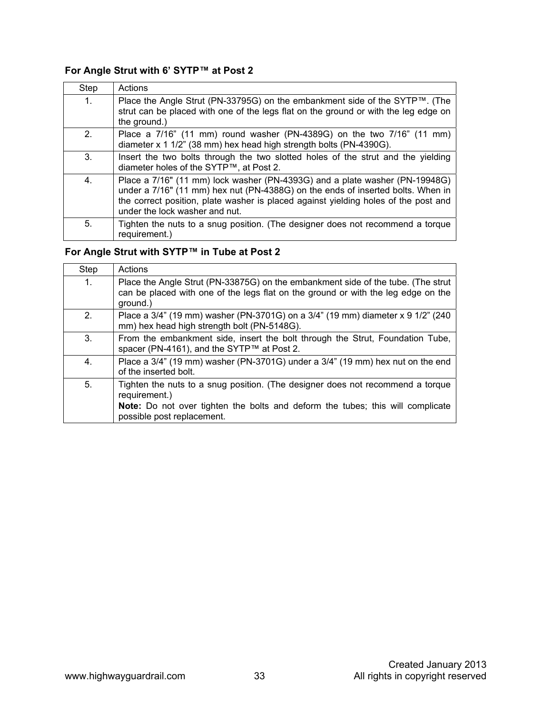#### **For Angle Strut with 6' SYTP™ at Post 2**

| Step | Actions                                                                                                                                                                                                                                                                                 |
|------|-----------------------------------------------------------------------------------------------------------------------------------------------------------------------------------------------------------------------------------------------------------------------------------------|
| 1.   | Place the Angle Strut (PN-33795G) on the embankment side of the SYTP™. (The<br>strut can be placed with one of the legs flat on the ground or with the leg edge on<br>the ground.)                                                                                                      |
| 2.   | Place a 7/16" (11 mm) round washer (PN-4389G) on the two 7/16" (11 mm)<br>diameter x 1 1/2" (38 mm) hex head high strength bolts (PN-4390G).                                                                                                                                            |
| 3.   | Insert the two bolts through the two slotted holes of the strut and the yielding<br>diameter holes of the SYTP™, at Post 2.                                                                                                                                                             |
| 4.   | Place a 7/16" (11 mm) lock washer (PN-4393G) and a plate washer (PN-19948G)<br>under a 7/16" (11 mm) hex nut (PN-4388G) on the ends of inserted bolts. When in<br>the correct position, plate washer is placed against yielding holes of the post and<br>under the lock washer and nut. |
| 5.   | Tighten the nuts to a snug position. (The designer does not recommend a torque<br>requirement.)                                                                                                                                                                                         |

#### **For Angle Strut with SYTP™ in Tube at Post 2**

| Step           | Actions                                                                                                                                                                           |
|----------------|-----------------------------------------------------------------------------------------------------------------------------------------------------------------------------------|
| $\mathbf{1}$ . | Place the Angle Strut (PN-33875G) on the embankment side of the tube. (The strut<br>can be placed with one of the legs flat on the ground or with the leg edge on the<br>ground.) |
| 2.             | Place a 3/4" (19 mm) washer (PN-3701G) on a 3/4" (19 mm) diameter x 9 1/2" (240<br>mm) hex head high strength bolt (PN-5148G).                                                    |
| 3.             | From the embankment side, insert the bolt through the Strut, Foundation Tube,<br>spacer (PN-4161), and the SYTP™ at Post 2.                                                       |
| 4.             | Place a 3/4" (19 mm) washer (PN-3701G) under a 3/4" (19 mm) hex nut on the end<br>of the inserted bolt.                                                                           |
| 5.             | Tighten the nuts to a snug position. (The designer does not recommend a torque<br>requirement.)                                                                                   |
|                | Note: Do not over tighten the bolts and deform the tubes; this will complicate<br>possible post replacement.                                                                      |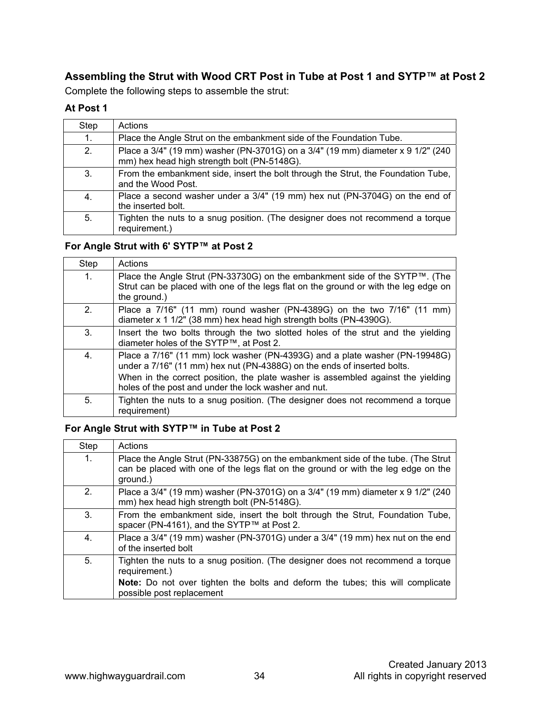#### **Assembling the Strut with Wood CRT Post in Tube at Post 1 and SYTP™ at Post 2**

Complete the following steps to assemble the strut:

#### **At Post 1**

| Step | Actions                                                                                                                        |
|------|--------------------------------------------------------------------------------------------------------------------------------|
| 1.   | Place the Angle Strut on the embankment side of the Foundation Tube.                                                           |
| 2.   | Place a 3/4" (19 mm) washer (PN-3701G) on a 3/4" (19 mm) diameter x 9 1/2" (240<br>mm) hex head high strength bolt (PN-5148G). |
| 3.   | From the embankment side, insert the bolt through the Strut, the Foundation Tube,<br>and the Wood Post.                        |
| 4.   | Place a second washer under a 3/4" (19 mm) hex nut (PN-3704G) on the end of<br>the inserted bolt.                              |
| 5.   | Tighten the nuts to a snug position. (The designer does not recommend a torque<br>requirement.)                                |

#### **For Angle Strut with 6' SYTP™ at Post 2**

| Step | Actions                                                                                                                                                                                                                                                                                            |
|------|----------------------------------------------------------------------------------------------------------------------------------------------------------------------------------------------------------------------------------------------------------------------------------------------------|
| 1.   | Place the Angle Strut (PN-33730G) on the embankment side of the SYTP™. (The<br>Strut can be placed with one of the legs flat on the ground or with the leg edge on<br>the ground.)                                                                                                                 |
| 2.   | Place a 7/16" (11 mm) round washer (PN-4389G) on the two 7/16" (11 mm)<br>diameter x 1 1/2" (38 mm) hex head high strength bolts (PN-4390G).                                                                                                                                                       |
| 3.   | Insert the two bolts through the two slotted holes of the strut and the yielding<br>diameter holes of the SYTP™, at Post 2.                                                                                                                                                                        |
| 4.   | Place a 7/16" (11 mm) lock washer (PN-4393G) and a plate washer (PN-19948G)<br>under a 7/16" (11 mm) hex nut (PN-4388G) on the ends of inserted bolts.<br>When in the correct position, the plate washer is assembled against the yielding<br>holes of the post and under the lock washer and nut. |
| 5.   | Tighten the nuts to a snug position. (The designer does not recommend a torque<br>requirement)                                                                                                                                                                                                     |

#### **For Angle Strut with SYTP™ in Tube at Post 2**

| Step | Actions                                                                                                                                                                           |
|------|-----------------------------------------------------------------------------------------------------------------------------------------------------------------------------------|
| 1.   | Place the Angle Strut (PN-33875G) on the embankment side of the tube. (The Strut<br>can be placed with one of the legs flat on the ground or with the leg edge on the<br>ground.) |
| 2.   | Place a 3/4" (19 mm) washer (PN-3701G) on a 3/4" (19 mm) diameter x 9 1/2" (240<br>mm) hex head high strength bolt (PN-5148G).                                                    |
| 3.   | From the embankment side, insert the bolt through the Strut, Foundation Tube,<br>spacer (PN-4161), and the SYTP™ at Post 2.                                                       |
| 4.   | Place a 3/4" (19 mm) washer (PN-3701G) under a 3/4" (19 mm) hex nut on the end<br>of the inserted bolt                                                                            |
| 5.   | Tighten the nuts to a snug position. (The designer does not recommend a torque<br>requirement.)                                                                                   |
|      | Note: Do not over tighten the bolts and deform the tubes; this will complicate<br>possible post replacement                                                                       |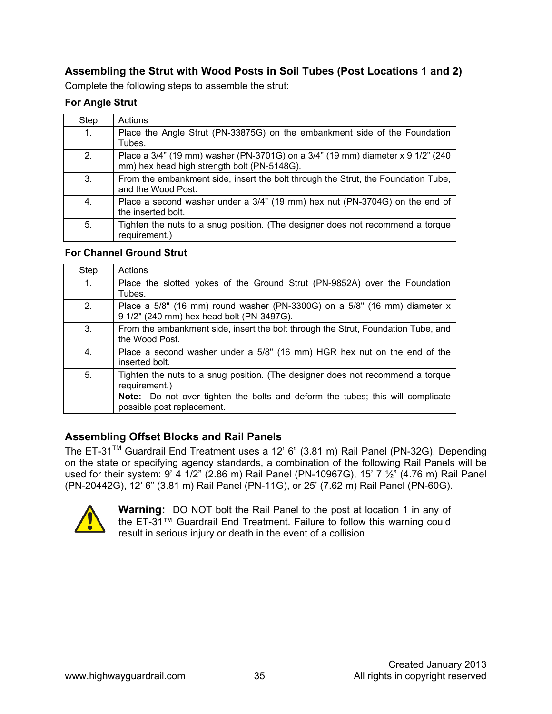#### **Assembling the Strut with Wood Posts in Soil Tubes (Post Locations 1 and 2)**

Complete the following steps to assemble the strut:

#### **For Angle Strut**

| Step           | Actions                                                                                                                        |
|----------------|--------------------------------------------------------------------------------------------------------------------------------|
| $\mathbf{1}$ . | Place the Angle Strut (PN-33875G) on the embankment side of the Foundation<br>Tubes.                                           |
| 2 <sub>1</sub> | Place a 3/4" (19 mm) washer (PN-3701G) on a 3/4" (19 mm) diameter x 9 1/2" (240<br>mm) hex head high strength bolt (PN-5148G). |
| 3.             | From the embankment side, insert the bolt through the Strut, the Foundation Tube,<br>and the Wood Post.                        |
| 4.             | Place a second washer under a 3/4" (19 mm) hex nut (PN-3704G) on the end of<br>the inserted bolt.                              |
| 5.             | Tighten the nuts to a snug position. (The designer does not recommend a torque<br>requirement.)                                |

#### **For Channel Ground Strut**

| Step | Actions                                                                                                                |
|------|------------------------------------------------------------------------------------------------------------------------|
| 1.   | Place the slotted yokes of the Ground Strut (PN-9852A) over the Foundation<br>Tubes.                                   |
| 2.   | Place a 5/8" (16 mm) round washer (PN-3300G) on a 5/8" (16 mm) diameter x<br>9 1/2" (240 mm) hex head bolt (PN-3497G). |
| 3.   | From the embankment side, insert the bolt through the Strut, Foundation Tube, and<br>the Wood Post.                    |
| 4.   | Place a second washer under a 5/8" (16 mm) HGR hex nut on the end of the<br>inserted bolt.                             |
| 5.   | Tighten the nuts to a snug position. (The designer does not recommend a torque<br>requirement.)                        |
|      | <b>Note:</b> Do not over tighten the bolts and deform the tubes; this will complicate<br>possible post replacement.    |

#### **Assembling Offset Blocks and Rail Panels**

The ET-31TM Guardrail End Treatment uses a 12' 6" (3.81 m) Rail Panel (PN-32G). Depending on the state or specifying agency standards, a combination of the following Rail Panels will be used for their system: 9' 4 1/2" (2.86 m) Rail Panel (PN-10967G), 15' 7  $\frac{1}{2}$ " (4.76 m) Rail Panel (PN-20442G), 12' 6" (3.81 m) Rail Panel (PN-11G), or 25' (7.62 m) Rail Panel (PN-60G).



**Warning:** DO NOT bolt the Rail Panel to the post at location 1 in any of the ET-31™ Guardrail End Treatment. Failure to follow this warning could result in serious injury or death in the event of a collision.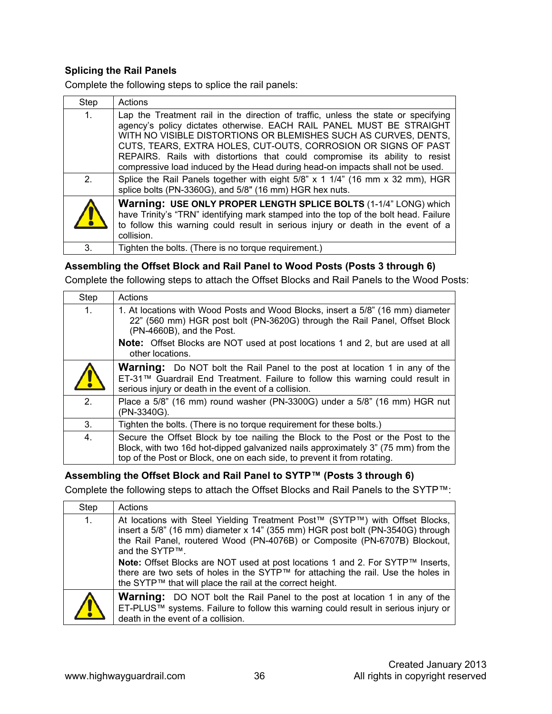#### **Splicing the Rail Panels**

Complete the following steps to splice the rail panels:

| Step           | Actions                                                                                                                                                                                                                                                                                                                                                                                                                                                          |
|----------------|------------------------------------------------------------------------------------------------------------------------------------------------------------------------------------------------------------------------------------------------------------------------------------------------------------------------------------------------------------------------------------------------------------------------------------------------------------------|
| 1.             | Lap the Treatment rail in the direction of traffic, unless the state or specifying<br>agency's policy dictates otherwise. EACH RAIL PANEL MUST BE STRAIGHT<br>WITH NO VISIBLE DISTORTIONS OR BLEMISHES SUCH AS CURVES, DENTS,<br>CUTS, TEARS, EXTRA HOLES, CUT-OUTS, CORROSION OR SIGNS OF PAST<br>REPAIRS. Rails with distortions that could compromise its ability to resist<br>compressive load induced by the Head during head-on impacts shall not be used. |
| 2 <sub>1</sub> | Splice the Rail Panels together with eight 5/8" x 1 1/4" (16 mm x 32 mm), HGR<br>splice bolts (PN-3360G), and 5/8" (16 mm) HGR hex nuts.                                                                                                                                                                                                                                                                                                                         |
| $\mathbf{L}$   | <b>Warning: USE ONLY PROPER LENGTH SPLICE BOLTS (1-1/4" LONG) which</b><br>have Trinity's "TRN" identifying mark stamped into the top of the bolt head. Failure<br>to follow this warning could result in serious injury or death in the event of a<br>collision.                                                                                                                                                                                                |
| 3.             | Tighten the bolts. (There is no torque requirement.)                                                                                                                                                                                                                                                                                                                                                                                                             |

#### **Assembling the Offset Block and Rail Panel to Wood Posts (Posts 3 through 6)**

Complete the following steps to attach the Offset Blocks and Rail Panels to the Wood Posts:

| Step           | Actions                                                                                                                                                                                                                                                                                                  |
|----------------|----------------------------------------------------------------------------------------------------------------------------------------------------------------------------------------------------------------------------------------------------------------------------------------------------------|
| 1 <sub>1</sub> | 1. At locations with Wood Posts and Wood Blocks, insert a 5/8" (16 mm) diameter<br>22" (560 mm) HGR post bolt (PN-3620G) through the Rail Panel, Offset Block<br>(PN-4660B), and the Post.<br><b>Note:</b> Offset Blocks are NOT used at post locations 1 and 2, but are used at all<br>other locations. |
| $\mathbf{r}$   | <b>Warning:</b> Do NOT bolt the Rail Panel to the post at location 1 in any of the<br>ET-31™ Guardrail End Treatment. Failure to follow this warning could result in<br>serious injury or death in the event of a collision.                                                                             |
| 2.             | Place a 5/8" (16 mm) round washer (PN-3300G) under a 5/8" (16 mm) HGR nut<br>(PN-3340G).                                                                                                                                                                                                                 |
| 3.             | Tighten the bolts. (There is no torque requirement for these bolts.)                                                                                                                                                                                                                                     |
| 4.             | Secure the Offset Block by toe nailing the Block to the Post or the Post to the<br>Block, with two 16d hot-dipped galvanized nails approximately 3" (75 mm) from the<br>top of the Post or Block, one on each side, to prevent it from rotating.                                                         |

#### **Assembling the Offset Block and Rail Panel to SYTP™ (Posts 3 through 6)**

Complete the following steps to attach the Offset Blocks and Rail Panels to the SYTP™:

| Step       | Actions                                                                                                                                                                                                                                                                                                                                                                                                                                                                                            |
|------------|----------------------------------------------------------------------------------------------------------------------------------------------------------------------------------------------------------------------------------------------------------------------------------------------------------------------------------------------------------------------------------------------------------------------------------------------------------------------------------------------------|
| 1.         | At locations with Steel Yielding Treatment Post™ (SYTP™) with Offset Blocks,<br>insert a 5/8" (16 mm) diameter x 14" (355 mm) HGR post bolt (PN-3540G) through<br>the Rail Panel, routered Wood (PN-4076B) or Composite (PN-6707B) Blockout,<br>and the SYTP™.<br>Note: Offset Blocks are NOT used at post locations 1 and 2. For SYTP™ Inserts,<br>there are two sets of holes in the SYTP™ for attaching the rail. Use the holes in<br>the SYTP™ that will place the rail at the correct height. |
| <b>/  </b> | <b>Warning:</b> DO NOT bolt the Rail Panel to the post at location 1 in any of the<br>ET-PLUS™ systems. Failure to follow this warning could result in serious injury or<br>death in the event of a collision.                                                                                                                                                                                                                                                                                     |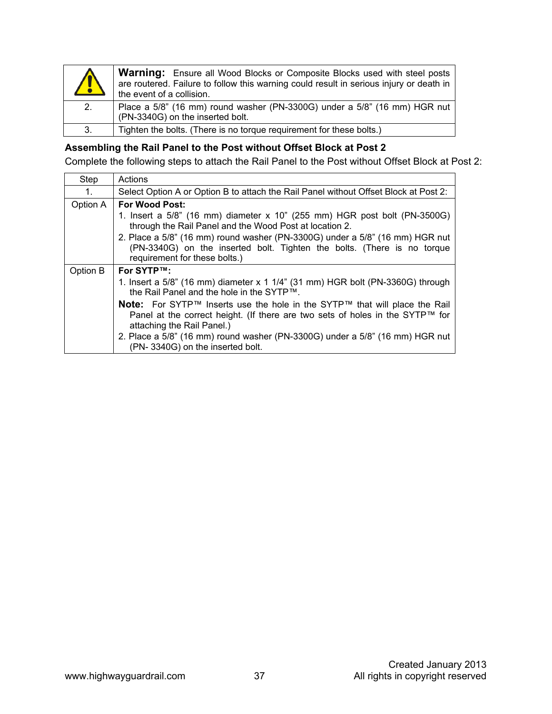| $\sqrt{2}$ | <b>Warning:</b> Ensure all Wood Blocks or Composite Blocks used with steel posts<br>are routered. Failure to follow this warning could result in serious injury or death in<br>the event of a collision. |
|------------|----------------------------------------------------------------------------------------------------------------------------------------------------------------------------------------------------------|
| 2.         | Place a 5/8" (16 mm) round washer (PN-3300G) under a 5/8" (16 mm) HGR nut<br>(PN-3340G) on the inserted bolt.                                                                                            |
| 3.         | Tighten the bolts. (There is no torque requirement for these bolts.)                                                                                                                                     |

#### **Assembling the Rail Panel to the Post without Offset Block at Post 2**

Complete the following steps to attach the Rail Panel to the Post without Offset Block at Post 2:

| Step     | Actions                                                                                                                                                                                   |
|----------|-------------------------------------------------------------------------------------------------------------------------------------------------------------------------------------------|
| 1.       | Select Option A or Option B to attach the Rail Panel without Offset Block at Post 2:                                                                                                      |
| Option A | <b>For Wood Post:</b>                                                                                                                                                                     |
|          | 1. Insert a 5/8" (16 mm) diameter x 10" (255 mm) HGR post bolt (PN-3500G)<br>through the Rail Panel and the Wood Post at location 2.                                                      |
|          | 2. Place a 5/8" (16 mm) round washer (PN-3300G) under a 5/8" (16 mm) HGR nut<br>(PN-3340G) on the inserted bolt. Tighten the bolts. (There is no torque<br>requirement for these bolts.)  |
| Option B | For SYTP™:                                                                                                                                                                                |
|          | 1. Insert a 5/8" (16 mm) diameter x 1 1/4" (31 mm) HGR bolt (PN-3360G) through<br>the Rail Panel and the hole in the SYTP™.                                                               |
|          | Note: For SYTP™ Inserts use the hole in the SYTP™ that will place the Rail<br>Panel at the correct height. (If there are two sets of holes in the SYTP™ for<br>attaching the Rail Panel.) |
|          | 2. Place a 5/8" (16 mm) round washer (PN-3300G) under a 5/8" (16 mm) HGR nut<br>(PN-3340G) on the inserted bolt.                                                                          |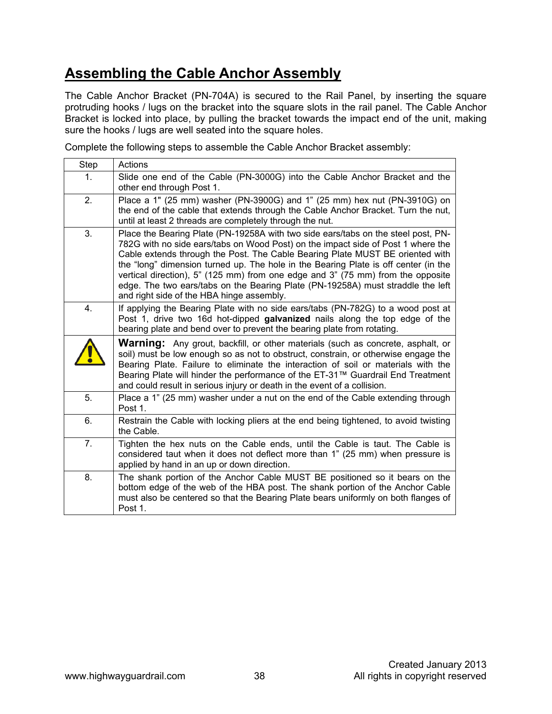### **Assembling the Cable Anchor Assembly**

The Cable Anchor Bracket (PN-704A) is secured to the Rail Panel, by inserting the square protruding hooks / lugs on the bracket into the square slots in the rail panel. The Cable Anchor Bracket is locked into place, by pulling the bracket towards the impact end of the unit, making sure the hooks / lugs are well seated into the square holes.

Complete the following steps to assemble the Cable Anchor Bracket assembly:

| Step | Actions                                                                                                                                                                                                                                                                                                                                                                                                                                                                                                                                                          |
|------|------------------------------------------------------------------------------------------------------------------------------------------------------------------------------------------------------------------------------------------------------------------------------------------------------------------------------------------------------------------------------------------------------------------------------------------------------------------------------------------------------------------------------------------------------------------|
| 1.   | Slide one end of the Cable (PN-3000G) into the Cable Anchor Bracket and the<br>other end through Post 1.                                                                                                                                                                                                                                                                                                                                                                                                                                                         |
| 2.   | Place a 1" (25 mm) washer (PN-3900G) and 1" (25 mm) hex nut (PN-3910G) on<br>the end of the cable that extends through the Cable Anchor Bracket. Turn the nut,<br>until at least 2 threads are completely through the nut.                                                                                                                                                                                                                                                                                                                                       |
| 3.   | Place the Bearing Plate (PN-19258A with two side ears/tabs on the steel post, PN-<br>782G with no side ears/tabs on Wood Post) on the impact side of Post 1 where the<br>Cable extends through the Post. The Cable Bearing Plate MUST BE oriented with<br>the "long" dimension turned up. The hole in the Bearing Plate is off center (in the<br>vertical direction), 5" (125 mm) from one edge and 3" (75 mm) from the opposite<br>edge. The two ears/tabs on the Bearing Plate (PN-19258A) must straddle the left<br>and right side of the HBA hinge assembly. |
| 4.   | If applying the Bearing Plate with no side ears/tabs (PN-782G) to a wood post at<br>Post 1, drive two 16d hot-dipped galvanized nails along the top edge of the<br>bearing plate and bend over to prevent the bearing plate from rotating.                                                                                                                                                                                                                                                                                                                       |
|      | <b>Warning:</b> Any grout, backfill, or other materials (such as concrete, asphalt, or<br>soil) must be low enough so as not to obstruct, constrain, or otherwise engage the<br>Bearing Plate. Failure to eliminate the interaction of soil or materials with the<br>Bearing Plate will hinder the performance of the ET-31™ Guardrail End Treatment<br>and could result in serious injury or death in the event of a collision.                                                                                                                                 |
| 5.   | Place a 1" (25 mm) washer under a nut on the end of the Cable extending through<br>Post 1.                                                                                                                                                                                                                                                                                                                                                                                                                                                                       |
| 6.   | Restrain the Cable with locking pliers at the end being tightened, to avoid twisting<br>the Cable.                                                                                                                                                                                                                                                                                                                                                                                                                                                               |
| 7.   | Tighten the hex nuts on the Cable ends, until the Cable is taut. The Cable is<br>considered taut when it does not deflect more than 1" (25 mm) when pressure is<br>applied by hand in an up or down direction.                                                                                                                                                                                                                                                                                                                                                   |
| 8.   | The shank portion of the Anchor Cable MUST BE positioned so it bears on the<br>bottom edge of the web of the HBA post. The shank portion of the Anchor Cable<br>must also be centered so that the Bearing Plate bears uniformly on both flanges of<br>Post 1.                                                                                                                                                                                                                                                                                                    |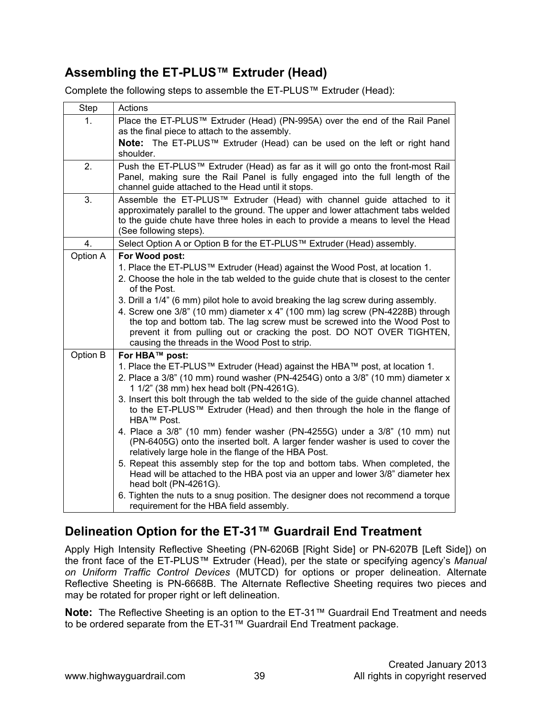### **Assembling the ET-PLUS™ Extruder (Head)**

Complete the following steps to assemble the ET-PLUS™ Extruder (Head):

| Step     | Actions                                                                                                                                                                                                                                                                                                                                                                        |
|----------|--------------------------------------------------------------------------------------------------------------------------------------------------------------------------------------------------------------------------------------------------------------------------------------------------------------------------------------------------------------------------------|
| 1.       | Place the ET-PLUS™ Extruder (Head) (PN-995A) over the end of the Rail Panel<br>as the final piece to attach to the assembly.                                                                                                                                                                                                                                                   |
|          | Note: The ET-PLUS™ Extruder (Head) can be used on the left or right hand<br>shoulder.                                                                                                                                                                                                                                                                                          |
| 2.       | Push the ET-PLUS™ Extruder (Head) as far as it will go onto the front-most Rail<br>Panel, making sure the Rail Panel is fully engaged into the full length of the<br>channel guide attached to the Head until it stops.                                                                                                                                                        |
| 3.       | Assemble the ET-PLUS™ Extruder (Head) with channel guide attached to it<br>approximately parallel to the ground. The upper and lower attachment tabs welded<br>to the guide chute have three holes in each to provide a means to level the Head<br>(See following steps).                                                                                                      |
| 4.       | Select Option A or Option B for the ET-PLUS™ Extruder (Head) assembly.                                                                                                                                                                                                                                                                                                         |
| Option A | For Wood post:                                                                                                                                                                                                                                                                                                                                                                 |
|          | 1. Place the ET-PLUS™ Extruder (Head) against the Wood Post, at location 1.                                                                                                                                                                                                                                                                                                    |
|          | 2. Choose the hole in the tab welded to the guide chute that is closest to the center<br>of the Post.                                                                                                                                                                                                                                                                          |
|          | 3. Drill a 1/4" (6 mm) pilot hole to avoid breaking the lag screw during assembly.<br>4. Screw one 3/8" (10 mm) diameter x 4" (100 mm) lag screw (PN-4228B) through<br>the top and bottom tab. The lag screw must be screwed into the Wood Post to<br>prevent it from pulling out or cracking the post. DO NOT OVER TIGHTEN,<br>causing the threads in the Wood Post to strip. |
| Option B | For HBA™ post:                                                                                                                                                                                                                                                                                                                                                                 |
|          | 1. Place the ET-PLUS™ Extruder (Head) against the HBA™ post, at location 1.<br>2. Place a 3/8" (10 mm) round washer (PN-4254G) onto a 3/8" (10 mm) diameter x<br>1 1/2" (38 mm) hex head bolt (PN-4261G).                                                                                                                                                                      |
|          | 3. Insert this bolt through the tab welded to the side of the guide channel attached<br>to the ET-PLUS™ Extruder (Head) and then through the hole in the flange of<br>HBA™ Post.                                                                                                                                                                                               |
|          | 4. Place a 3/8" (10 mm) fender washer (PN-4255G) under a 3/8" (10 mm) nut<br>(PN-6405G) onto the inserted bolt. A larger fender washer is used to cover the<br>relatively large hole in the flange of the HBA Post.                                                                                                                                                            |
|          | 5. Repeat this assembly step for the top and bottom tabs. When completed, the<br>Head will be attached to the HBA post via an upper and lower 3/8" diameter hex<br>head bolt (PN-4261G).                                                                                                                                                                                       |
|          | 6. Tighten the nuts to a snug position. The designer does not recommend a torque<br>requirement for the HBA field assembly.                                                                                                                                                                                                                                                    |

### **Delineation Option for the ET-31™ Guardrail End Treatment**

Apply High Intensity Reflective Sheeting (PN-6206B [Right Side] or PN-6207B [Left Side]) on the front face of the ET-PLUS™ Extruder (Head), per the state or specifying agency's *Manual on Uniform Traffic Control Devices* (MUTCD) for options or proper delineation. Alternate Reflective Sheeting is PN-6668B. The Alternate Reflective Sheeting requires two pieces and may be rotated for proper right or left delineation.

**Note:** The Reflective Sheeting is an option to the ET-31™ Guardrail End Treatment and needs to be ordered separate from the ET-31™ Guardrail End Treatment package.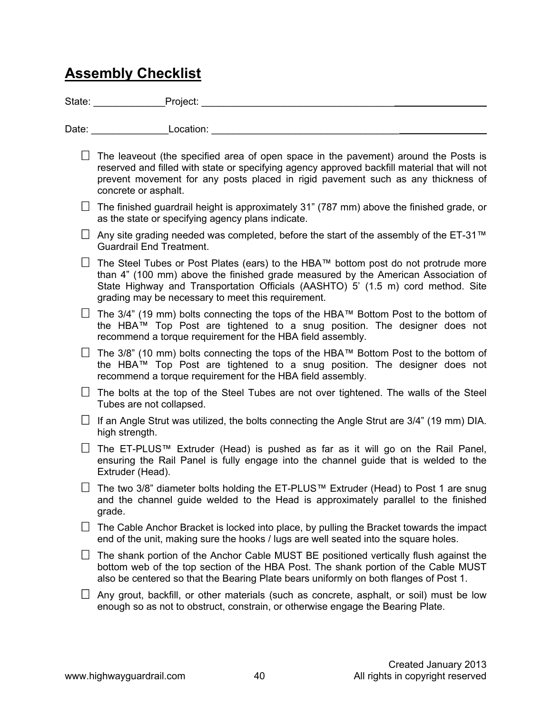### **Assembly Checklist**

State: \_\_\_\_\_\_\_\_\_\_\_\_\_Project: \_\_\_\_\_\_\_\_\_\_\_\_\_\_\_\_\_\_\_\_\_\_\_\_\_\_\_\_\_\_\_\_\_\_\_

Date: example and Location:  $\blacksquare$ 

- $\Box$  The leaveout (the specified area of open space in the pavement) around the Posts is reserved and filled with state or specifying agency approved backfill material that will not prevent movement for any posts placed in rigid pavement such as any thickness of concrete or asphalt.
- $\Box$  The finished guardrail height is approximately 31" (787 mm) above the finished grade, or as the state or specifying agency plans indicate.
- $\Box$  Any site grading needed was completed, before the start of the assembly of the ET-31™ Guardrail End Treatment.
- $□$  The Steel Tubes or Post Plates (ears) to the HBA™ bottom post do not protrude more than 4" (100 mm) above the finished grade measured by the American Association of State Highway and Transportation Officials (AASHTO) 5' (1.5 m) cord method. Site grading may be necessary to meet this requirement.
- $□$  The 3/4" (19 mm) bolts connecting the tops of the HBA™ Bottom Post to the bottom of the HBA™ Top Post are tightened to a snug position. The designer does not recommend a torque requirement for the HBA field assembly.
- $□$  The 3/8" (10 mm) bolts connecting the tops of the HBA™ Bottom Post to the bottom of the HBA™ Top Post are tightened to a snug position. The designer does not recommend a torque requirement for the HBA field assembly.
- $\Box$  The bolts at the top of the Steel Tubes are not over tightened. The walls of the Steel Tubes are not collapsed.
- If an Angle Strut was utilized, the bolts connecting the Angle Strut are  $3/4$ " (19 mm) DIA. high strength.
- The ET-PLUS™ Extruder (Head) is pushed as far as it will go on the Rail Panel, ensuring the Rail Panel is fully engage into the channel guide that is welded to the Extruder (Head).
- $□$  The two 3/8" diameter bolts holding the ET-PLUS™ Extruder (Head) to Post 1 are snug and the channel guide welded to the Head is approximately parallel to the finished grade.
- $\Box$  The Cable Anchor Bracket is locked into place, by pulling the Bracket towards the impact end of the unit, making sure the hooks / lugs are well seated into the square holes.
- $\Box$  The shank portion of the Anchor Cable MUST BE positioned vertically flush against the bottom web of the top section of the HBA Post. The shank portion of the Cable MUST also be centered so that the Bearing Plate bears uniformly on both flanges of Post 1.
- $\Box$  Any grout, backfill, or other materials (such as concrete, asphalt, or soil) must be low enough so as not to obstruct, constrain, or otherwise engage the Bearing Plate.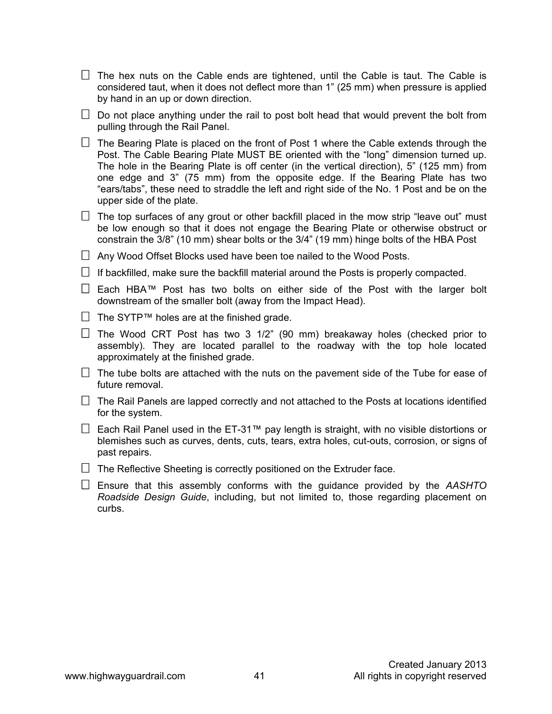$\Box$  The hex nuts on the Cable ends are tightened, until the Cable is taut. The Cable is considered taut, when it does not deflect more than 1" (25 mm) when pressure is applied by hand in an up or down direction.

 $\Box$  Do not place anything under the rail to post bolt head that would prevent the bolt from pulling through the Rail Panel.

 $\Box$  The Bearing Plate is placed on the front of Post 1 where the Cable extends through the Post. The Cable Bearing Plate MUST BE oriented with the "long" dimension turned up. The hole in the Bearing Plate is off center (in the vertical direction), 5" (125 mm) from one edge and 3" (75 mm) from the opposite edge. If the Bearing Plate has two "ears/tabs", these need to straddle the left and right side of the No. 1 Post and be on the upper side of the plate.

 $\Box$  The top surfaces of any grout or other backfill placed in the mow strip "leave out" must be low enough so that it does not engage the Bearing Plate or otherwise obstruct or constrain the 3/8" (10 mm) shear bolts or the 3/4" (19 mm) hinge bolts of the HBA Post

 $\Box$  Any Wood Offset Blocks used have been toe nailed to the Wood Posts.

 $\Box$  If backfilled, make sure the backfill material around the Posts is properly compacted.

 $□$  Each HBA™ Post has two bolts on either side of the Post with the larger bolt downstream of the smaller bolt (away from the Impact Head).

- $□$  The SYTP™ holes are at the finished grade.
- $\Box$  The Wood CRT Post has two 3 1/2" (90 mm) breakaway holes (checked prior to assembly). They are located parallel to the roadway with the top hole located approximately at the finished grade.

 $\Box$  The tube bolts are attached with the nuts on the pavement side of the Tube for ease of future removal.

 $\Box$  The Rail Panels are lapped correctly and not attached to the Posts at locations identified for the system.

 $□$  Each Rail Panel used in the ET-31™ pay length is straight, with no visible distortions or blemishes such as curves, dents, cuts, tears, extra holes, cut-outs, corrosion, or signs of past repairs.

 $\Box$  The Reflective Sheeting is correctly positioned on the Extruder face.

 Ensure that this assembly conforms with the guidance provided by the *AASHTO Roadside Design Guide*, including, but not limited to, those regarding placement on curbs.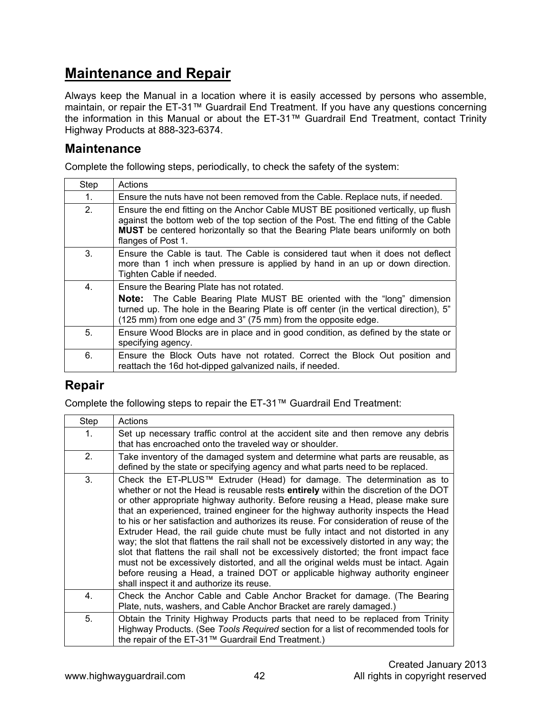### **Maintenance and Repair**

Always keep the Manual in a location where it is easily accessed by persons who assemble, maintain, or repair the ET-31™ Guardrail End Treatment. If you have any questions concerning the information in this Manual or about the ET-31™ Guardrail End Treatment, contact Trinity Highway Products at 888-323-6374.

#### **Maintenance**

Complete the following steps, periodically, to check the safety of the system:

| Step | Actions                                                                                                                                                                                                                                                                                   |
|------|-------------------------------------------------------------------------------------------------------------------------------------------------------------------------------------------------------------------------------------------------------------------------------------------|
| 1.   | Ensure the nuts have not been removed from the Cable. Replace nuts, if needed.                                                                                                                                                                                                            |
| 2.   | Ensure the end fitting on the Anchor Cable MUST BE positioned vertically, up flush<br>against the bottom web of the top section of the Post. The end fitting of the Cable<br><b>MUST</b> be centered horizontally so that the Bearing Plate bears uniformly on both<br>flanges of Post 1. |
| 3.   | Ensure the Cable is taut. The Cable is considered taut when it does not deflect<br>more than 1 inch when pressure is applied by hand in an up or down direction.<br>Tighten Cable if needed.                                                                                              |
| 4.   | Ensure the Bearing Plate has not rotated.<br><b>Note:</b> The Cable Bearing Plate MUST BE oriented with the "long" dimension<br>turned up. The hole in the Bearing Plate is off center (in the vertical direction), 5"<br>(125 mm) from one edge and 3" (75 mm) from the opposite edge.   |
| 5.   | Ensure Wood Blocks are in place and in good condition, as defined by the state or<br>specifying agency.                                                                                                                                                                                   |
| 6.   | Ensure the Block Outs have not rotated. Correct the Block Out position and<br>reattach the 16d hot-dipped galvanized nails, if needed.                                                                                                                                                    |

#### **Repair**

Complete the following steps to repair the ET-31™ Guardrail End Treatment:

| Step           | Actions                                                                                                                                                                                                                                                                                                                                                                                                                                                                                                                                                                                                                                                                                                                                                                                                                                                                                                                       |
|----------------|-------------------------------------------------------------------------------------------------------------------------------------------------------------------------------------------------------------------------------------------------------------------------------------------------------------------------------------------------------------------------------------------------------------------------------------------------------------------------------------------------------------------------------------------------------------------------------------------------------------------------------------------------------------------------------------------------------------------------------------------------------------------------------------------------------------------------------------------------------------------------------------------------------------------------------|
| 1 <sub>1</sub> | Set up necessary traffic control at the accident site and then remove any debris<br>that has encroached onto the traveled way or shoulder.                                                                                                                                                                                                                                                                                                                                                                                                                                                                                                                                                                                                                                                                                                                                                                                    |
| 2 <sup>2</sup> | Take inventory of the damaged system and determine what parts are reusable, as<br>defined by the state or specifying agency and what parts need to be replaced.                                                                                                                                                                                                                                                                                                                                                                                                                                                                                                                                                                                                                                                                                                                                                               |
| 3.             | Check the ET-PLUS™ Extruder (Head) for damage. The determination as to<br>whether or not the Head is reusable rests entirely within the discretion of the DOT<br>or other appropriate highway authority. Before reusing a Head, please make sure<br>that an experienced, trained engineer for the highway authority inspects the Head<br>to his or her satisfaction and authorizes its reuse. For consideration of reuse of the<br>Extruder Head, the rail guide chute must be fully intact and not distorted in any<br>way; the slot that flattens the rail shall not be excessively distorted in any way; the<br>slot that flattens the rail shall not be excessively distorted; the front impact face<br>must not be excessively distorted, and all the original welds must be intact. Again<br>before reusing a Head, a trained DOT or applicable highway authority engineer<br>shall inspect it and authorize its reuse. |
| 4.             | Check the Anchor Cable and Cable Anchor Bracket for damage. (The Bearing<br>Plate, nuts, washers, and Cable Anchor Bracket are rarely damaged.)                                                                                                                                                                                                                                                                                                                                                                                                                                                                                                                                                                                                                                                                                                                                                                               |
| 5.             | Obtain the Trinity Highway Products parts that need to be replaced from Trinity<br>Highway Products. (See Tools Required section for a list of recommended tools for<br>the repair of the ET-31™ Guardrail End Treatment.)                                                                                                                                                                                                                                                                                                                                                                                                                                                                                                                                                                                                                                                                                                    |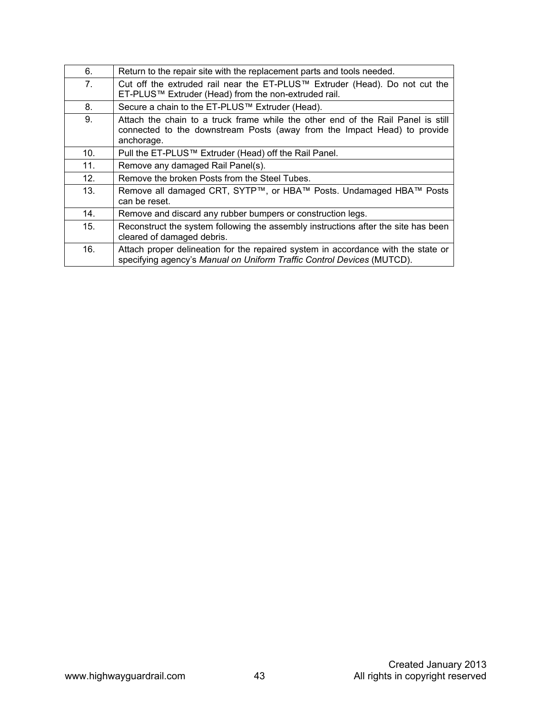| 6.              | Return to the repair site with the replacement parts and tools needed.                                                                                                     |
|-----------------|----------------------------------------------------------------------------------------------------------------------------------------------------------------------------|
| 7.              | Cut off the extruded rail near the ET-PLUS™ Extruder (Head). Do not cut the<br>ET-PLUS™ Extruder (Head) from the non-extruded rail.                                        |
| 8.              | Secure a chain to the ET-PLUS™ Extruder (Head).                                                                                                                            |
| 9.              | Attach the chain to a truck frame while the other end of the Rail Panel is still<br>connected to the downstream Posts (away from the Impact Head) to provide<br>anchorage. |
| 10 <sub>1</sub> | Pull the ET-PLUS™ Extruder (Head) off the Rail Panel.                                                                                                                      |
| 11.             | Remove any damaged Rail Panel(s).                                                                                                                                          |
| 12.             | Remove the broken Posts from the Steel Tubes.                                                                                                                              |
| 13.             | Remove all damaged CRT, SYTP™, or HBA™ Posts. Undamaged HBA™ Posts<br>can be reset.                                                                                        |
| 14.             | Remove and discard any rubber bumpers or construction legs.                                                                                                                |
| 15.             | Reconstruct the system following the assembly instructions after the site has been<br>cleared of damaged debris.                                                           |
| 16.             | Attach proper delineation for the repaired system in accordance with the state or<br>specifying agency's Manual on Uniform Traffic Control Devices (MUTCD).                |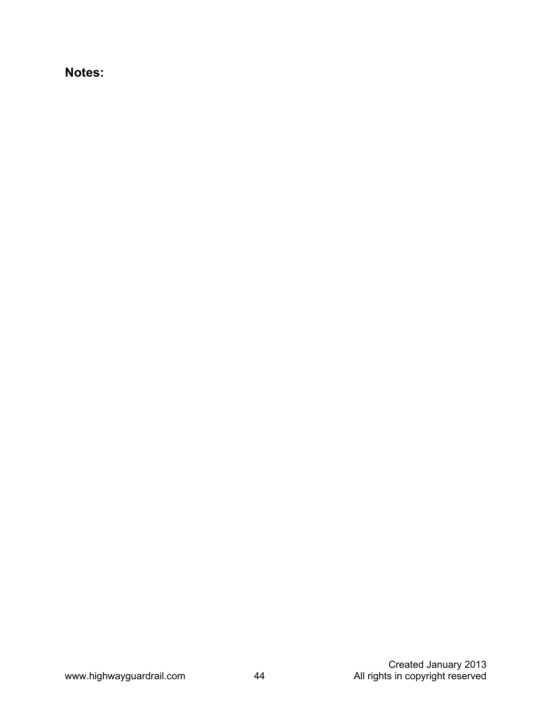**Notes:**